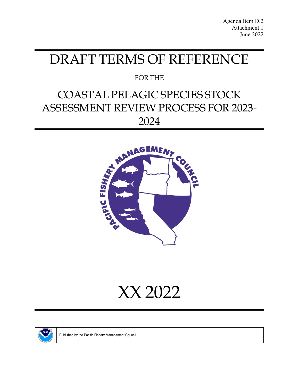# DRAFT TERMS OF REFERENCE

# FOR THE

# COASTAL PELAGIC SPECIES STOCK ASSESSMENT REVIEW PROCESS FOR 2023- 2024







Published by the Pacific Fishery Management Council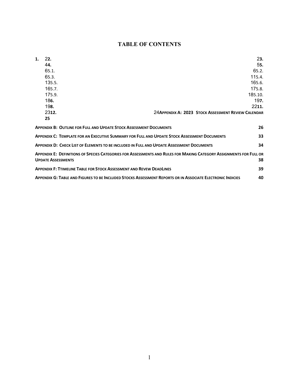## **TABLE OF CONTENTS**

| 1. | 22.                                                                                          |                                                                                                                     | 23.     |
|----|----------------------------------------------------------------------------------------------|---------------------------------------------------------------------------------------------------------------------|---------|
|    | 44.                                                                                          |                                                                                                                     | 55.     |
|    | 65.1.                                                                                        |                                                                                                                     | 65.2.   |
|    | 65.3.                                                                                        |                                                                                                                     | 115.4.  |
|    | 135.5.                                                                                       |                                                                                                                     | 165.6.  |
|    | 165.7.                                                                                       |                                                                                                                     | 175.8.  |
|    | 175.9.                                                                                       |                                                                                                                     | 185.10. |
|    | 186.                                                                                         |                                                                                                                     | 197.    |
|    | 198.                                                                                         |                                                                                                                     | 2211.   |
|    | 2312.                                                                                        | 24 APPENDIX A: 2023 STOCK ASSESSMENT REVIEW CALENDAR                                                                |         |
|    | 25                                                                                           |                                                                                                                     |         |
|    | <b>APPENDIX B: OUTLINE FOR FULL AND UPDATE STOCK ASSESSMENT DOCUMENTS</b>                    |                                                                                                                     | 26      |
|    | APPENDIX C: TEMPLATE FOR AN EXECUTIVE SUMMARY FOR FULL AND UPDATE STOCK ASSESSMENT DOCUMENTS |                                                                                                                     | 33      |
|    | APPENDIX D: CHECK LIST OF ELEMENTS TO BE INCLUDED IN FULL AND UPDATE ASSESSMENT DOCUMENTS    |                                                                                                                     | 34      |
|    |                                                                                              | APPENDIX E: DEFINITIONS OF SPECIES CATEGORIES FOR ASSESSMENTS AND RULES FOR MAKING CATEGORY ASSIGNMENTS FOR FULL OR |         |
|    | <b>UPDATE ASSESSMENTS</b>                                                                    |                                                                                                                     | 38      |
|    | <b>APPENDIX F: TTIMELINE TABLE FOR STOCK ASSESSMENT AND REVEW DEADLINES</b>                  |                                                                                                                     | 39      |
|    |                                                                                              | APPENDIX G: TABLE AND FIGURES TO BE INCLUDED STOCKS ASSESSMENT REPORTS OR IN ASSOCIATE ELECTRONIC INDICIES          | 40      |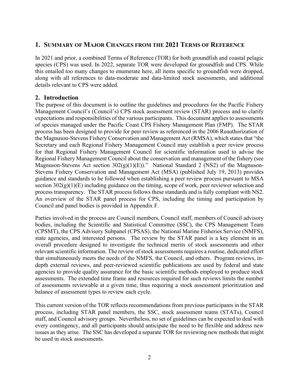## <span id="page-2-0"></span>**1. SUMMARY OF MAJOR CHANGES FROM THE 2021 TERMS OF REFERENCE**

<span id="page-2-1"></span>In 2021 and prior, a combined Terms of Reference (TOR) for both groundfish and coastal pelagic species (CPS) was used. In 2022, separate TOR were developed for groundfish and CPS. While this entailed too many changes to enumerate here, all items specific to groundfish were dropped, along with all references to data-moderate and data-limited stock assessments, and additional details relevant to CPS were added.

#### **2. Introduction**

The purpose of this document is to outline the guidelines and procedures for the Pacific Fishery Management Council's (Council's) CPS stock assessment review (STAR) process and to clarify expectations and responsibilities of the various participants. This document applies to assessments of species managed under the Pacific Coast CPS Fishery Management Plan (FMP). The STAR process has been designed to provide for peer review as referenced in the 2006 Reauthorization of the Magnuson-Stevens Fishery Conservation and Management Act (RMSA), which states that "the Secretary and each Regional Fishery Management Council may establish a peer review process for that Regional Fishery Management Council for scientific information used to advise the Regional Fishery Management Council about the conservation and management of the fishery (see Magnuson-Stevens Act section  $302(g)(1)(E)$ ." National Standard 2 (NS2) of the Magnuson-Stevens Fishery Conservation and Management Act (MSA) (published July 19, 2013) provides guidance and standards to be followed when establishing a peer review process pursuant to MSA section  $302(g)(1)(E)$  including guidance on the timing, scope of work, peer reviewer selection and process transparency. The STAR process follows these standards and is fully compliant with NS2. An overview of the STAR panel process for CPS, including the timing and participation by Council and panel bodies is provided in [Appendix F.](#page-39-0)

Parties involved in the process are Council members, Council staff, members of Council advisory bodies, including the Scientific and Statistical Committee (SSC), the CPS Management Team (CPSMT), the CPS Advisory Subpanel (CPSAS), the National Marine Fisheries Service (NMFS), state agencies, and interested persons. The review by the STAR panel is a key element in an overall procedure designed to investigate the technical merits of stock assessments and other relevant scientific information. The review of stock assessments requires a routine, dedicated effort that simultaneously meets the needs of the NMFS, the Council, and others. Program reviews, indepth external reviews, and peer-reviewed scientific publications are used by federal and state agencies to provide quality assurance for the basic scientific methods employed to produce stock assessments. The extended time frame and resources required for such reviews limits the number of assessments reviewable at a given time, thus requiring a stock assessment prioritization and balance of assessment types to review each cycle.

This current version of the TOR reflects recommendations from previous participants in the STAR process, including STAR panel members, the SSC, stock assessment teams (STATs), Council staff, and Council advisory groups. Nevertheless, no set of guidelines can be expected to deal with every contingency, and all participants should anticipate the need to be flexible and address new issues as they arise. The SSC has developed a separate TOR for reviewing new methods that might be used in stock assessments.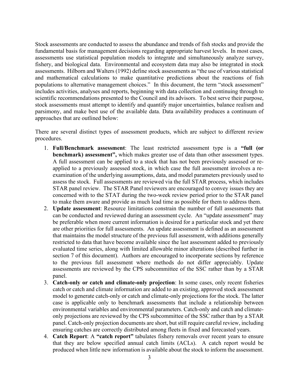Stock assessments are conducted to assess the abundance and trends of fish stocks and provide the fundamental basis for management decisions regarding appropriate harvest levels. In most cases, assessments use statistical population models to integrate and simultaneously analyze survey, fishery, and biological data. Environmental and ecosystem data may also be integrated in stock assessments. Hilborn and Walters (1992) define stock assessments as "the use of various statistical and mathematical calculations to make quantitative predictions about the reactions of fish populations to alternative management choices." In this document, the term "stock assessment" includes activities, analyses and reports, beginning with data collection and continuing through to scientific recommendations presented to the Council and its advisors. To best serve their purpose, stock assessments must attempt to identify and quantify major uncertainties, balance realism and parsimony, and make best use of the available data. Data availability produces a continuum of approaches that are outlined below:

There are several distinct types of assessment products, which are subject to different review procedures.

- 1. **Full/Benchmark assessment**: The least restricted assessment type is a **"full (or benchmark) assessment",** which makes greater use of data than other assessment types. A full assessment can be applied to a stock that has not been previously assessed or reapplied to a previously assessed stock, in which case the full assessment involves a reexamination of the underlying assumptions, data, and model parameters previously used to assess the stock. Full assessments are reviewed via the full STAR process, which includes STAR panel review. The STAR Panel reviewers are encouraged to convey issues they are concerned with to the STAT during the two-week review period prior to the STAR panel to make them aware and provide as much lead time as possible for them to address them.
- 2. **Update assessment**: Resource limitations constrain the number of full assessments that can be conducted and reviewed during an assessment cycle. An "update assessment" may be preferable when more current information is desired for a particular stock and yet there are other priorities for full assessments. An update assessment is defined as an assessment that maintains the model structure of the previous full assessment, with additions generally restricted to data that have become available since the last assessment added to previously evaluated time series, along with limited allowable minor alterations (described further in section [7](#page-19-1) of this document). Authors are encouraged to incorporate sections by reference to the previous full assessment where methods do not differ appreciably. Update assessments are reviewed by the CPS subcommittee of the SSC rather than by a STAR panel.
- 3. **Catch-only or catch and climate-only projection**: In some cases, only recent fisheries catch or catch and climate information are added to an existing, approved stock assessment model to generate catch-only or catch and climate-only projections for the stock. The latter case is applicable only to benchmark assessments that include a relationship between environmental variables and environmental parameters. Catch-only and catch and climateonly projections are reviewed by the CPS subcommittee of the SSC rather than by a STAR panel. Catch-only projection documents are short, but still require careful review, including ensuring catches are correctly distributed among fleets in fixed and forecasted years.
- 4. **Catch Report**: A **"catch report"** tabulates fishery removals over recent years to ensure that they are below specified annual catch limits (ACLs). A catch report would be produced when little new information is available about the stock to inform the assessment.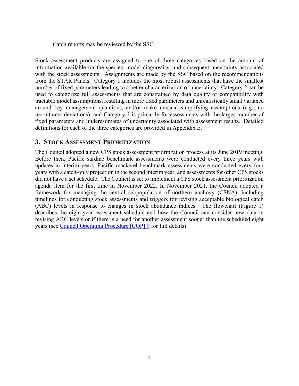Catch reports may be reviewed by the SSC.

Stock assessment products are assigned to one of three categories based on the amount of information available for the species, model diagnostics, and subsequent uncertainty associated with the stock assessments. Assignments are made by the SSC based on the recommendations from the STAR Panels. Category 1 includes the most robust assessments that have the smallest number of fixed parameters leading to a better characterization of uncertainty. Category 2 can be used to categorize full assessments that are constrained by data quality or compatibility with tractable model assumptions, resulting in more fixed parameters and unrealistically small variance around key management quantities, and/or make unusual simplifying assumptions (e.g., no recruitment deviations), and Category 3 is primarily for assessments with the largest number of fixed parameters and underestimates of uncertainty associated with assessment results. Detailed definitions for each of the three categories are provided in [Appendix E.](#page-38-0)

#### <span id="page-4-0"></span>**3. STOCK ASSESSMENT PRIORITIZATION**

The Council adopted a new CPS stock assessment prioritization process at its June 2019 meeting. Before then, Pacific sardine benchmark assessments were conducted every three years with updates in interim years, Pacific mackerel benchmark assessments were conducted every four years with a catch-only projection in the second interim year, and assessments for other CPS stocks did not have a set schedule. The Council is set to implement a CPS stock assessment prioritization agenda item for the first time in November 2022. In November 2021, the Council adopted a framework for managing the central subpopulation of northern anchovy (CSNA), including timelines for conducting stock assessments and triggers for revising acceptable biological catch (ABC) levels in response to changes in stock abundance indices. The flowchart [\(Figure 1\)](#page-5-1) describes the eight-year assessment schedule and how the Council can consider new data in revising ABC levels or if there is a need for another assessment sooner than the scheduled eight years (see [Council Operating Procedure \[COP\]](https://www.pcouncil.org/documents/2020/09/current-operating-procedures.pdf/#page=58) [9](https://www.pcouncil.org/documents/2020/09/current-operating-procedures.pdf/#page=58) for full details).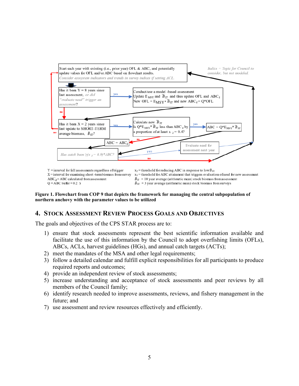

#### <span id="page-5-1"></span>**Figure 1. Flowchart from COP 9 that depicts the framework for managing the central subpopulation of northern anchovy with the parameter values to be utilized**

#### <span id="page-5-0"></span>**4. STOCK ASSESSMENT REVIEW PROCESS GOALS AND OBJECTIVES**

The goals and objectives of the CPS STAR process are to:

- 1) ensure that stock assessments represent the best scientific information available and facilitate the use of this information by the Council to adopt overfishing limits (OFLs), ABCs, ACLs, harvest guidelines (HGs), and annual catch targets (ACTs);
- 2) meet the mandates of the MSA and other legal requirements;
- 3) follow a detailed calendar and fulfill explicit responsibilities for all participants to produce required reports and outcomes;
- 4) provide an independent review of stock assessments;
- 5) increase understanding and acceptance of stock assessments and peer reviews by all members of the Council family;
- 6) identify research needed to improve assessments, reviews, and fishery management in the future; and
- 7) use assessment and review resources effectively and efficiently.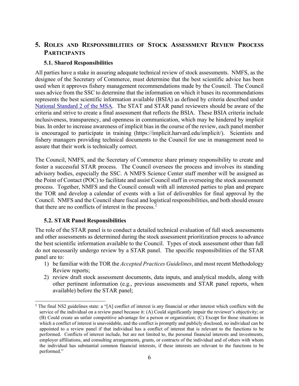## <span id="page-6-0"></span>**5. ROLES AND RESPONSIBILITIES OF STOCK ASSESSMENT REVIEW PROCESS PARTICIPANTS**

#### <span id="page-6-1"></span>**5.1. Shared Responsibilities**

All parties have a stake in assuring adequate technical review of stock assessments. NMFS, as the designee of the Secretary of Commerce, must determine that the best scientific advice has been used when it approves fishery management recommendations made by the Council. The Council uses advice from the SSC to determine that the information on which it bases its recommendations represents the best scientific information available (BSIA) as defined by criteria described under [National Standard 2 of the MSA.](https://www.ecfr.gov/cgi-bin/retrieveECFR?gp=&SID=6b0acea089174af8594db02314f26914&mc=true&r=SECTION&n=se50.12.600_1315) The STAT and STAR panel reviewers should be aware of the criteria and strive to create a final assessment that reflects the BSIA. These BSIA criteria include inclusiveness, transparency, and openness in communication, which may be hindered by implicit bias. In order to increase awareness of implicit bias in the course of the review, each panel member is encouraged to participate in training (https://implicit.harvard.edu/implicit/). Scientists and fishery managers providing technical documents to the Council for use in management need to assure that their work is technically correct.

The Council, NMFS, and the Secretary of Commerce share primary responsibility to create and foster a successful STAR process. The Council oversees the process and involves its standing advisory bodies, especially the SSC. A NMFS Science Center staff member will be assigned as the Point of Contact (POC) to facilitate and assist Council staff in overseeing the stock assessment process. Together, NMFS and the Council consult with all interested parties to plan and prepare the TOR and develop a calendar of events with a list of deliverables for final approval by the Council. NMFS and the Council share fiscal and logistical responsibilities, and both should ensure that there are no conflicts of interest in the process. $<sup>1</sup>$  $<sup>1</sup>$  $<sup>1</sup>$ </sup>

#### <span id="page-6-2"></span>**5.2. STAR Panel Responsibilities**

The role of the STAR panel is to conduct a detailed technical evaluation of full stock assessments and other assessments as determined during the stock assessment prioritization process to advance the best scientific information available to the Council. Types of stock assessment other than full do not necessarily undergo review by a STAR panel. The specific responsibilities of the STAR panel are to:

- 1) be familiar with the TOR the *Accepted Practices Guidelines*, and most recent Methodology Review reports;
- 2) review draft stock assessment documents, data inputs, and analytical models, along with other pertinent information (e.g., previous assessments and STAR panel reports, when available) before the STAR panel;

<span id="page-6-3"></span><sup>1</sup> The final NS2 guidelines state: a "[A] conflict of interest is any financial or other interest which conflicts with the service of the individual on a review panel because it: (A) Could significantly impair the reviewer's objectivity; or (B) Could create an unfair competitive advantage for a person or organization; (C) Except for those situations in which a conflict of interest is unavoidable, and the conflict is promptly and publicly disclosed, no individual can be appointed to a review panel if that individual has a conflict of interest that is relevant to the functions to be performed. Conflicts of interest include, but are not limited to, the personal financial interests and investments, employer affiliations, and consulting arrangements, grants, or contracts of the individual and of others with whom the individual has substantial common financial interests, if these interests are relevant to the functions to be performed."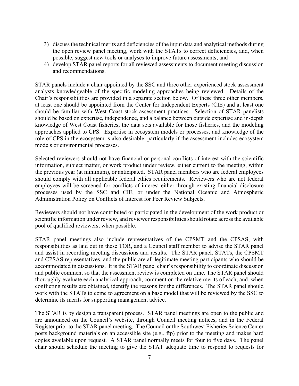- 3) discuss the technical merits and deficiencies of the input data and analytical methods during the open review panel meeting, work with the STATs to correct deficiencies, and, when possible, suggest new tools or analyses to improve future assessments; and
- 4) develop STAR panel reports for all reviewed assessments to document meeting discussion and recommendations.

STAR panels include a chair appointed by the SSC and three other experienced stock assessment analysts knowledgeable of the specific modeling approaches being reviewed. Details of the Chair's responsibilities are provided in a separate section below. Of these three other members, at least one should be appointed from the Center for Independent Experts (CIE) and at least one should be familiar with West Coast stock assessment practices. Selection of STAR panelists should be based on expertise, independence, and a balance between outside expertise and in-depth knowledge of West Coast fisheries, the data sets available for those fisheries, and the modeling approaches applied to CPS. Expertise in ecosystem models or processes, and knowledge of the role of CPS in the ecosystem is also desirable, particularly if the assessment includes ecosystem models or environmental processes.

Selected reviewers should not have financial or personal conflicts of interest with the scientific information, subject matter, or work product under review, either current to the meeting, within the previous year (at minimum), or anticipated. STAR panel members who are federal employees should comply with all applicable federal ethics requirements. Reviewers who are not federal employees will be screened for conflicts of interest either through existing financial disclosure processes used by the SSC and CIE, or under the National Oceanic and Atmospheric Administration Policy on Conflicts of Interest for Peer Review Subjects.

Reviewers should not have contributed or participated in the development of the work product or scientific information under review, and reviewer responsibilities should rotate across the available pool of qualified reviewers, when possible.

STAR panel meetings also include representatives of the CPSMT and the CPSAS, with responsibilities as laid out in these TOR, and a Council staff member to advise the STAR panel and assist in recording meeting discussions and results. The STAR panel, STATs, the CPSMT and CPSAS representatives, and the public are all legitimate meeting participants who should be accommodated in discussions. It is the STAR panel chair's responsibility to coordinate discussion and public comment so that the assessment review is completed on time. The STAR panel should thoroughly evaluate each analytical approach, comment on the relative merits of each, and, when conflicting results are obtained, identify the reasons for the differences. The STAR panel should work with the STATs to come to agreement on a base model that will be reviewed by the SSC to determine its merits for supporting management advice.

The STAR is by design a transparent process. STAR panel meetings are open to the public and are announced on the Council's website, through Council meeting notices, and in the Federal Register prior to the STAR panel meeting. The Council or the Southwest Fisheries Science Center posts background materials on an accessible site (e.g., ftp) prior to the meeting and makes hard copies available upon request. A STAR panel normally meets for four to five days. The panel chair should schedule the meeting to give the STAT adequate time to respond to requests for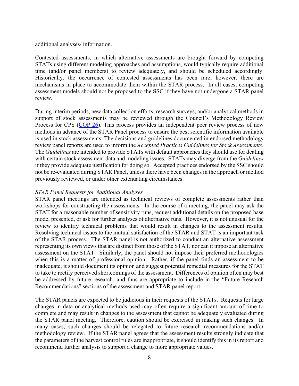additional analyses/ information.

Contested assessments, in which alternative assessments are brought forward by competing STATs using different modeling approaches and assumptions, would typically require additional time (and/or panel members) to review adequately, and should be scheduled accordingly. Historically, the occurrence of contested assessments has been rare; however, there are mechanisms in place to accommodate them within the STAR process. In all cases, competing assessment models should not be proposed to the SSC if they have not undergone a STAR panel review.

During interim periods, new data collection efforts, research surveys, and/or analytical methods in support of stock assessments may be reviewed through the Council's Methodology Review Process for CPS [\(COP 26\)](https://www.pcouncil.org/documents/2019/09/cop-26.pdf/). This process provides an independent peer review process of new methods in advance of the STAR Panel process to ensure the best scientific information available is used in stock assessments. The decisions and guidelines documented in endorsed methodology review panel reports are used to inform the *Accepted Practices Guidelines for Stock Assessments*. The *Guidelines* are intended to provide STATs with default approaches they should use for dealing with certain stock assessment data and modeling issues. STATs may diverge from the *Guidelines* if they provide adequate justification for doing so. Accepted practices endorsed by the SSC should not be re-evaluated during STAR Panel, unless there have been changes in the approach or method previously reviewed, or under other extenuating circumstances.

#### *STAR Panel Requests for Additional Analyses*

STAR panel meetings are intended as technical reviews of complete assessments rather than workshops for constructing the assessments. In the course of a meeting, the panel may ask the STAT for a reasonable number of sensitivity runs, request additional details on the proposed base model presented, or ask for further analyses of alternative runs. However, it is not unusual for the review to identify technical problems that would result in changes to the assessment results. Resolving technical issues to the mutual satisfaction of the STAR and STAT is an important task of the STAR process. The STAR panel is not authorized to conduct an alternative assessment representing its own views that are distinct from those of the STAT, nor can it impose an alternative assessment on the STAT. Similarly, the panel should not impose their preferred methodologies when this is a matter of professional opinion. Rather, if the panel finds an assessment to be inadequate, it should document its opinion and suggest potential remedial measures for the STAT to take to rectify perceived shortcomings of the assessment. Differences of opinion often may best be addressed by future research, and thus are appropriate to include in the "Future Research Recommendations" sections of the assessment and STAR panel report.

The STAR panels are expected to be judicious in their requests of the STATs. Requests for large changes in data or analytical methods used may often require a significant amount of time to complete and may result in changes to the assessment that cannot be adequately evaluated during the STAR panel meeting. Therefore, caution should be exercised in making such changes. In many cases, such changes should be relegated to future research recommendations and/or methodology review. If the STAR panel agrees that the assessment results strongly indicate that the parameters of the harvest control rules are inappropriate, it should identify this in its report and recommend further analysis to support a change to more appropriate values.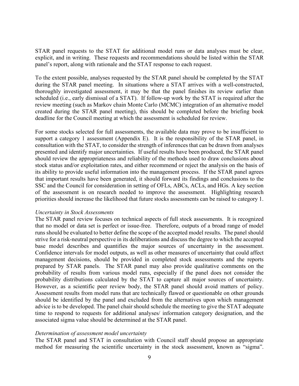STAR panel requests to the STAT for additional model runs or data analyses must be clear, explicit, and in writing. These requests and recommendations should be listed within the STAR panel's report, along with rationale and the STAT response to each request.

To the extent possible, analyses requested by the STAR panel should be completed by the STAT during the STAR panel meeting. In situations where a STAT arrives with a well-constructed, thoroughly investigated assessment, it may be that the panel finishes its review earlier than scheduled (i.e., early dismissal of a STAT). If follow-up work by the STAT is required after the review meeting (such as Markov chain Monte Carlo (MCMC) integration of an alternative model created during the STAR panel meeting), this should be completed before the briefing book deadline for the Council meeting at which the assessment is scheduled for review.

For some stocks selected for full assessments, the available data may prove to be insufficient to support a category 1 assessment [\(Appendix E\)](#page-38-0). It is the responsibility of the STAR panel, in consultation with the STAT, to consider the strength of inferences that can be drawn from analyses presented and identify major uncertainties. If useful results have been produced, the STAR panel should review the appropriateness and reliability of the methods used to draw conclusions about stock status and/or exploitation rates, and either recommend or reject the analysis on the basis of its ability to provide useful information into the management process. If the STAR panel agrees that important results have been generated, it should forward its findings and conclusions to the SSC and the Council for consideration in setting of OFLs, ABCs, ACLs, and HGs. A key section of the assessment is on research needed to improve the assessment. Highlighting research priorities should increase the likelihood that future stocks assessments can be raised to category 1.

#### *Uncertainty in Stock Assessments*

The STAR panel review focuses on technical aspects of full stock assessments. It is recognized that no model or data set is perfect or issue-free. Therefore, outputs of a broad range of model runs should be evaluated to better define the scope of the accepted model results. The panel should strive for a risk-neutral perspective in its deliberations and discuss the degree to which the accepted base model describes and quantifies the major sources of uncertainty in the assessment. Confidence intervals for model outputs, as well as other measures of uncertainty that could affect management decisions, should be provided in completed stock assessments and the reports prepared by STAR panels. The STAR panel may also provide qualitative comments on the probability of results from various model runs, especially if the panel does not consider the probability distributions calculated by the STAT to capture all major sources of uncertainty. However, as a scientific peer review body, the STAR panel should avoid matters of policy. Assessment results from model runs that are technically flawed or questionable on other grounds should be identified by the panel and excluded from the alternatives upon which management advice is to be developed. The panel chair should schedule the meeting to give the STAT adequate time to respond to requests for additional analyses/ information category designation, and the associated sigma value should be determined at the STAR panel.

#### *Determination of assessment model uncertainty*

The STAR panel and STAT in consultation with Council staff should propose an appropriate method for measuring the scientific uncertainty in the stock assessment, known as "sigma".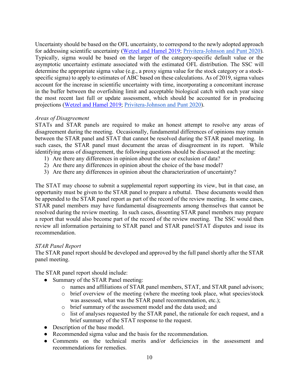Uncertainty should be based on the OFL uncertainty, to correspond to the newly adopted approach for addressing scientific uncertainty [\(Wetzel and Hamel 2019;](https://www.pcouncil.org/documents/2019/02/agenda-item-g-3-supplemental-revised-attachment-3-accounting-for-increased-uncertainty-in-setting-precautionary-harvest-limits-from-past-assessments.pdf/) [Privitera-Johnson and Punt 2020\)](https://academic.oup.com/icesjms/article/77/2/515/5675586). Typically, sigma would be based on the larger of the category-specific default value or the asymptotic uncertainty estimate associated with the estimated OFL distribution. The SSC will determine the appropriate sigma value (e.g., a proxy sigma value for the stock category or a stockspecific sigma) to apply to estimates of ABC based on these calculations. As of 2019, sigma values account for the increase in scientific uncertainty with time, incorporating a concomitant increase in the buffer between the overfishing limit and acceptable biological catch with each year since the most recent last full or update assessment, which should be accounted for in producing projections [\(Wetzel and Hamel 2019;](https://www.pcouncil.org/documents/2019/02/agenda-item-g-3-supplemental-revised-attachment-3-accounting-for-increased-uncertainty-in-setting-precautionary-harvest-limits-from-past-assessments.pdf/) [Privitera-Johnson and](https://academic.oup.com/icesjms/article/77/2/515/5675586) Punt 2020).

#### *Areas of Disagreement*

STATs and STAR panels are required to make an honest attempt to resolve any areas of disagreement during the meeting. Occasionally, fundamental differences of opinions may remain between the STAR panel and STAT that cannot be resolved during the STAR panel meeting. In such cases, the STAR panel must document the areas of disagreement in its report. While identifying areas of disagreement, the following questions should be discussed at the meeting:

- 1) Are there any differences in opinion about the use or exclusion of data?
- 2) Are there any differences in opinion about the choice of the base model?
- 3) Are there any differences in opinion about the characterization of uncertainty?

The STAT may choose to submit a supplemental report supporting its view, but in that case, an opportunity must be given to the STAR panel to prepare a rebuttal. These documents would then be appended to the STAR panel report as part of the record of the review meeting. In some cases, STAR panel members may have fundamental disagreements among themselves that cannot be resolved during the review meeting. In such cases, dissenting STAR panel members may prepare a report that would also become part of the record of the review meeting. The SSC would then review all information pertaining to STAR panel and STAR panel/STAT disputes and issue its recommendation.

#### *STAR Panel Report*

The STAR panel report should be developed and approved by the full panel shortly after the STAR panel meeting.

The STAR panel report should include:

- Summary of the STAR Panel meeting:
	- o names and affiliations of STAR panel members, STAT, and STAR panel advisors;
	- o brief overview of the meeting (where the meeting took place, what species/stock was assessed, what was the STAR panel recommendation, etc.);
	- o brief summary of the assessment model and the data used; and
	- o list of analyses requested by the STAR panel, the rationale for each request, and a brief summary of the STAT response to the request.
- Description of the base model.
- Recommended sigma value and the basis for the recommendation.
- Comments on the technical merits and/or deficiencies in the assessment and recommendations for remedies.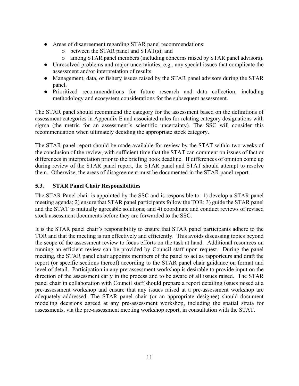- Areas of disagreement regarding STAR panel recommendations:
	- o between the STAR panel and STAT(s); and
	- o among STAR panel members (including concerns raised by STAR panel advisors).
- Unresolved problems and major uncertainties, e.g., any special issues that complicate the assessment and/or interpretation of results.
- Management, data, or fishery issues raised by the STAR panel advisors during the STAR panel.
- Prioritized recommendations for future research and data collection, including methodology and ecosystem considerations for the subsequent assessment.

The STAR panel should recommend the category for the assessment based on the definitions of assessment categories in Appendix E and associated rules for relating category designations with sigma (the metric for an assessment's scientific uncertainty). The SSC will consider this recommendation when ultimately deciding the appropriate stock category.

The STAR panel report should be made available for review by the STAT within two weeks of the conclusion of the review, with sufficient time that the STAT can comment on issues of fact or differences in interpretation prior to the briefing book deadline. If differences of opinion come up during review of the STAR panel report, the STAR panel and STAT should attempt to resolve them. Otherwise, the areas of disagreement must be documented in the STAR panel report.

#### <span id="page-11-0"></span>**5.3. STAR Panel Chair Responsibilities**

The STAR Panel chair is appointed by the SSC and is responsible to: 1) develop a STAR panel meeting agenda; 2) ensure that STAR panel participants follow the TOR; 3) guide the STAR panel and the STAT to mutually agreeable solutions; and 4) coordinate and conduct reviews of revised stock assessment documents before they are forwarded to the SSC.

It is the STAR panel chair's responsibility to ensure that STAR panel participants adhere to the TOR and that the meeting is run effectively and efficiently. This avoids discussing topics beyond the scope of the assessment review to focus efforts on the task at hand. Additional resources on running an efficient review can be provided by Council staff upon request. During the panel meeting, the STAR panel chair appoints members of the panel to act as rapporteurs and draft the report (or specific sections thereof) according to the STAR panel chair guidance on format and level of detail. Participation in any pre-assessment workshop is desirable to provide input on the direction of the assessment early in the process and to be aware of all issues raised. The STAR panel chair in collaboration with Council staff should prepare a report detailing issues raised at a pre-assessment workshop and ensure that any issues raised at a pre-assessment workshop are adequately addressed. The STAR panel chair (or an appropriate designee) should document modeling decisions agreed at any pre-assessment workshop, including the spatial strata for assessments, via the pre-assessment meeting workshop report, in consultation with the STAT.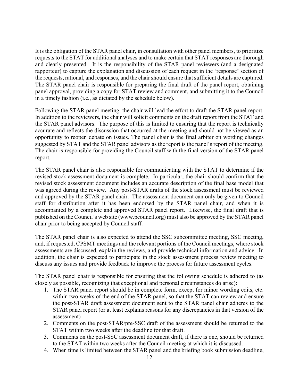It is the obligation of the STAR panel chair, in consultation with other panel members, to prioritize requests to the STAT for additional analyses and to make certain that STAT responses are thorough and clearly presented. It is the responsibility of the STAR panel reviewers (and a designated rapporteur) to capture the explanation and discussion of each request in the 'response' section of the requests, rational, and responses, and the chair should ensure that sufficient details are captured. The STAR panel chair is responsible for preparing the final draft of the panel report, obtaining panel approval, providing a copy for STAT review and comment, and submitting it to the Council in a timely fashion (i.e., as dictated by the schedule below).

Following the STAR panel meeting, the chair will lead the effort to draft the STAR panel report. In addition to the reviewers, the chair will solicit comments on the draft report from the STAT and the STAR panel advisors. The purpose of this is limited to ensuring that the report is technically accurate and reflects the discussion that occurred at the meeting and should not be viewed as an opportunity to reopen debate on issues. The panel chair is the final arbiter on wording changes suggested by STAT and the STAR panel advisors as the report is the panel's report of the meeting. The chair is responsible for providing the Council staff with the final version of the STAR panel report.

The STAR panel chair is also responsible for communicating with the STAT to determine if the revised stock assessment document is complete. In particular, the chair should confirm that the revised stock assessment document includes an accurate description of the final base model that was agreed during the review. Any post-STAR drafts of the stock assessment must be reviewed and approved by the STAR panel chair. The assessment document can only be given to Council staff for distribution after it has been endorsed by the STAR panel chair, and when it is accompanied by a complete and approved STAR panel report. Likewise, the final draft that is published on the Council's web site (www.pcouncil.org) must also be approved by the STAR panel chair prior to being accepted by Council staff.

The STAR panel chair is also expected to attend the SSC subcommittee meeting, SSC meeting, and, if requested, CPSMT meetings and the relevant portions of the Council meetings, where stock assessments are discussed, explain the reviews, and provide technical information and advice. In addition, the chair is expected to participate in the stock assessment process review meeting to discuss any issues and provide feedback to improve the process for future assessment cycles.

The STAR panel chair is responsible for ensuring that the following schedule is adhered to (as closely as possible, recognizing that exceptional and personal circumstances do arise):

- 1. The STAR panel report should be in complete form, except for minor wording edits, etc. within two weeks of the end of the STAR panel, so that the STAT can review and ensure the post-STAR draft assessment document sent to the STAR panel chair adheres to the STAR panel report (or at least explains reasons for any discrepancies in that version of the assessment)
- 2. Comments on the post-STAR/pre-SSC draft of the assessment should be returned to the STAT within two weeks after the deadline for that draft.
- 3. Comments on the post-SSC assessment document draft, if there is one, should be returned to the STAT within two weeks after the Council meeting at which it is discussed.
- 4. When time is limited between the STAR panel and the briefing book submission deadline,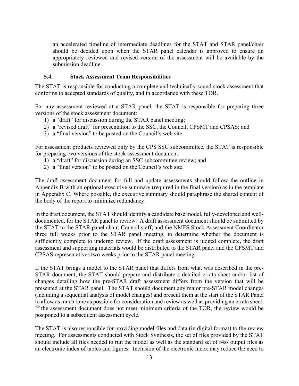an accelerated timeline of intermediate deadlines for the STAT and STAR panel/chair should be decided upon when the STAR panel calendar is approved to ensure an appropriately reviewed and revised version of the assessment will be available by the submission deadline.

#### <span id="page-13-0"></span>**5.4. Stock Assessment Team Responsibilities**

The STAT is responsible for conducting a complete and technically sound stock assessment that conforms to accepted standards of quality, and in accordance with these TOR.

For any assessment reviewed at a STAR panel, the STAT is responsible for preparing three versions of the stock assessment document:

- 1) a "draft" for discussion during the STAR panel meeting;
- 2) a "revised draft" for presentation to the SSC, the Council, CPSMT and CPSAS; and
- 3) a "final version" to be posted on the Council's web site.

For assessment products reviewed only by the CPS SSC subcommittee, the STAT is responsible for preparing two versions of the stock assessment document:

- 1) a "draft" for discussion during an SSC subcommittee review; and
- 2) a "final version" to be posted on the Council's web site.

The draft assessment document for full and update assessments should follow the outline in Appendix B with an optional executive summary (required in the final version) as in the template in Appendix C. Where possible, the executive summary should paraphrase the shared content of the body of the report to minimize redundancy.

In the draft document, the STAT should identify a candidate base model, fully-developed and welldocumented, for the STAR panel to review. A draft assessment document should be submitted by the STAT to the STAR panel chair, Council staff, and the NMFS Stock Assessment Coordinator three full weeks prior to the STAR panel meeting, to determine whether the document is sufficiently complete to undergo review. If the draft assessment is judged complete, the draft assessment and supporting materials would be distributed to the STAR panel and the CPSMT and CPSAS representatives two weeks prior to the STAR panel meeting.

If the STAT brings a model to the STAR panel that differs from what was described in the pre-STAR document, the STAT should prepare and distribute a detailed errata sheet and/or list of changes detailing how the pre-STAR draft assessment differs from the version that will be presented at the STAR panel. The STAT should document any major pre-STAR model changes (including a sequential analysis of model changes) and present them at the start of the STAR Panel to allow as much time as possible for consideration and review as well as providing an errata sheet. If the assessment document does not meet minimum criteria of the TOR, the review would be postponed to a subsequent assessment cycle.

The STAT is also responsible for providing model files and data (in digital format) to the review meeting. For assessments conducted with Stock Synthesis, the set of files provided by the STAT should include all files needed to run the model as well as the standard set of r4ss output files as an electronic index of tables and figures. Inclusion of the electronic index may reduce the need to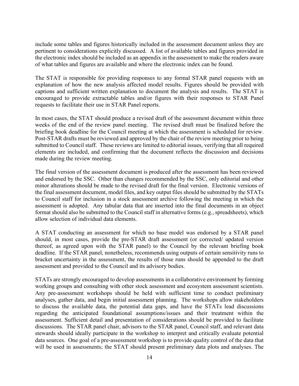include some tables and figures historically included in the assessment document unless they are pertinent to considerations explicitly discussed. A list of available tables and figures provided in the electronic index should be included as an appendix in the assessment to make the readers aware of what tables and figures are available and where the electronic index can be found.

The STAT is responsible for providing responses to any formal STAR panel requests with an explanation of how the new analysis affected model results. Figures should be provided with captions and sufficient written explanation to document the analysis and results. The STAT is encouraged to provide extractable tables and/or figures with their responses to STAR Panel requests to facilitate their use in STAR Panel reports.

In most cases, the STAT should produce a revised draft of the assessment document within three weeks of the end of the review panel meeting. The revised draft must be finalized before the briefing book deadline for the Council meeting at which the assessment is scheduled for review. Post-STAR drafts must be reviewed and approved by the chair of the review meeting prior to being submitted to Council staff. These reviews are limited to editorial issues, verifying that all required elements are included, and confirming that the document reflects the discussion and decisions made during the review meeting.

The final version of the assessment document is produced after the assessment has been reviewed and endorsed by the SSC. Other than changes recommended by the SSC, only editorial and other minor alterations should be made to the revised draft for the final version. Electronic versions of the final assessment document, model files, and key output files should be submitted by the STATs to Council staff for inclusion in a stock assessment archive following the meeting in which the assessment is adopted. Any tabular data that are inserted into the final documents in an object format should also be submitted to the Council staff in alternative forms (e.g., spreadsheets), which allow selection of individual data elements.

A STAT conducting an assessment for which no base model was endorsed by a STAR panel should, in most cases, provide the pre-STAR draft assessment (or corrected/ updated version thereof, as agreed upon with the STAR panel) to the Council by the relevant briefing book deadline. If the STAR panel, nonetheless, recommends using outputs of certain sensitivity runs to bracket uncertainty in the assessment, the results of those runs should be appended to the draft assessment and provided to the Council and its advisory bodies.

STATs are strongly encouraged to develop assessments in a collaborative environment by forming working groups and consulting with other stock assessment and ecosystem assessment scientists. Any pre-assessment workshops should be held with sufficient time to conduct preliminary analyses, gather data, and begin initial assessment planning. The workshops allow stakeholders to discuss the available data, the potential data gaps, and have the STATs lead discussions regarding the anticipated foundational assumptions/issues and their treatment within the assessment. Sufficient detail and presentation of considerations should be provided to facilitate discussions. The STAR panel chair, advisors to the STAR panel, Council staff, and relevant data stewards should ideally participate in the workshop to interpret and critically evaluate potential data sources. One goal of a pre-assessment workshop is to provide quality control of the data that will be used in assessments; the STAT should present preliminary data plots and analyses. The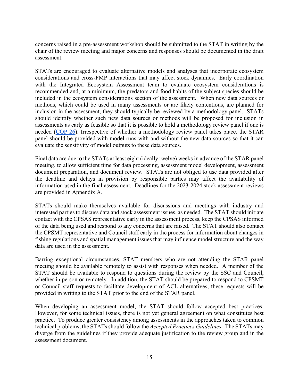concerns raised in a pre-assessment workshop should be submitted to the STAT in writing by the chair of the review meeting and major concerns and responses should be documented in the draft assessment.

STATs are encouraged to evaluate alternative models and analyses that incorporate ecosystem considerations and cross-FMP interactions that may affect stock dynamics. Early coordination with the Integrated Ecosystem Assessment team to evaluate ecosystem considerations is recommended and, at a minimum, the predators and food habits of the subject species should be included in the ecosystem considerations section of the assessment. When new data sources or methods, which could be used in many assessments or are likely contentious, are planned for inclusion in the assessment, they should typically be reviewed by a methodology panel. STATs should identify whether such new data sources or methods will be proposed for inclusion in assessments as early as feasible so that it is possible to hold a methodology review panel if one is needed [\(COP 26\)](https://www.google.com/url?q=https://www.pcouncil.org/documents/2020/09/current-operating-procedures.pdf/%23page%3D119&sa=D&source=docs&ust=1651850733172635&usg=AOvVaw1QkzIN8KUSnhuclYzigZxv). Irrespective of whether a methodology review panel takes place, the STAR panel should be provided with model runs with and without the new data sources so that it can evaluate the sensitivity of model outputs to these data sources.

Final data are due to the STATs at least eight (ideally twelve) weeks in advance of the STAR panel meeting, to allow sufficient time for data processing, assessment model development, assessment document preparation, and document review. STATs are not obliged to use data provided after the deadline and delays in provision by responsible parties may affect the availability of information used in the final assessment. Deadlines for the 2023-2024 stock assessment reviews are provided in Appendix A.

STATs should make themselves available for discussions and meetings with industry and interested parties to discuss data and stock assessment issues, as needed. The STAT should initiate contact with the CPSAS representative early in the assessment process, keep the CPSAS informed of the data being used and respond to any concerns that are raised. The STAT should also contact the CPSMT representative and Council staff early in the process for information about changes in fishing regulations and spatial management issues that may influence model structure and the way data are used in the assessment.

Barring exceptional circumstances, STAT members who are not attending the STAR panel meeting should be available remotely to assist with responses when needed. A member of the STAT should be available to respond to questions during the review by the SSC and Council, whether in person or remotely. In addition, the STAT should be prepared to respond to CPSMT or Council staff requests to facilitate development of ACL alternatives; these requests will be provided in writing to the STAT prior to the end of the STAR panel.

When developing an assessment model, the STAT should follow accepted best practices. However, for some technical issues, there is not yet general agreement on what constitutes best practice. To produce greater consistency among assessments in the approaches taken to common technical problems, the STATs should follow the *Accepted Practices Guidelines*. The STATs may diverge from the guidelines if they provide adequate justification to the review group and in the assessment document.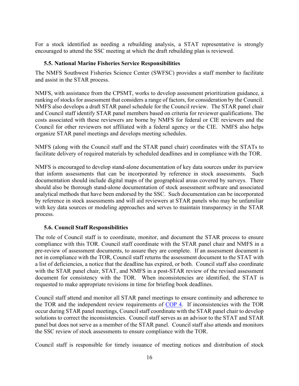For a stock identified as needing a rebuilding analysis, a STAT representative is strongly encouraged to attend the SSC meeting at which the draft rebuilding plan is reviewed.

#### <span id="page-16-0"></span>**5.5. National Marine Fisheries Service Responsibilities**

The NMFS Southwest Fisheries Science Center (SWFSC) provides a staff member to facilitate and assist in the STAR process.

NMFS, with assistance from the CPSMT, works to develop assessment prioritization guidance, a ranking of stocks for assessment that considers a range of factors, for consideration by the Council. NMFS also develops a draft STAR panel schedule for the Council review. The STAR panel chair and Council staff identify STAR panel members based on criteria for reviewer qualifications. The costs associated with these reviewers are borne by NMFS for federal or CIE reviewers and the Council for other reviewers not affiliated with a federal agency or the CIE. NMFS also helps organize STAR panel meetings and develops meeting schedules.

NMFS (along with the Council staff and the STAR panel chair) coordinates with the STATs to facilitate delivery of required materials by scheduled deadlines and in compliance with the TOR.

NMFS is encouraged to develop stand-alone documentation of key data sources under its purview that inform assessments that can be incorporated by reference in stock assessments. Such documentation should include digital maps of the geographical areas covered by surveys. There should also be thorough stand-alone documentation of stock assessment software and associated analytical methods that have been endorsed by the SSC. Such documentation can be incorporated by reference in stock assessments and will aid reviewers at STAR panels who may be unfamiliar with key data sources or modeling approaches and serves to maintain transparency in the STAR process.

#### <span id="page-16-1"></span>**5.6. Council Staff Responsibilities**

The role of Council staff is to coordinate, monitor, and document the STAR process to ensure compliance with this TOR. Council staff coordinate with the STAR panel chair and NMFS in a pre-review of assessment documents, to assure they are complete. If an assessment document is not in compliance with the TOR, Council staff returns the assessment document to the STAT with a list of deficiencies, a notice that the deadline has expired, or both. Council staff also coordinate with the STAR panel chair, STAT, and NMFS in a post-STAR review of the revised assessment document for consistency with the TOR. When inconsistencies are identified, the STAT is requested to make appropriate revisions in time for briefing book deadlines.

Council staff attend and monitor all STAR panel meetings to ensure continuity and adherence to the TOR and the independent review requirements of [COP](http://www.pcouncil.org/wp-content/uploads/cop4.pdf) 4. If inconsistencies with the TOR occur during STAR panel meetings, Council staff coordinate with the STAR panel chair to develop solutions to correct the inconsistencies. Council staff serves as an advisor to the STAT and STAR panel but does not serve as a member of the STAR panel. Council staff also attends and monitors the SSC review of stock assessments to ensure compliance with the TOR.

Council staff is responsible for timely issuance of meeting notices and distribution of stock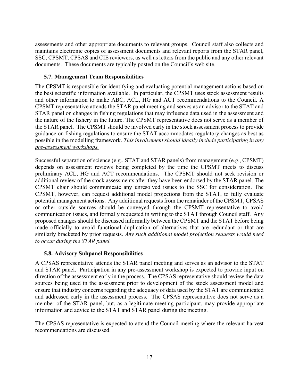assessments and other appropriate documents to relevant groups. Council staff also collects and maintains electronic copies of assessment documents and relevant reports from the STAR panel, SSC, CPSMT, CPSAS and CIE reviewers, as well as letters from the public and any other relevant documents. These documents are typically posted on the Council's web site.

#### <span id="page-17-0"></span>**5.7. Management Team Responsibilities**

The CPSMT is responsible for identifying and evaluating potential management actions based on the best scientific information available. In particular, the CPSMT uses stock assessment results and other information to make ABC, ACL, HG and ACT recommendations to the Council. A CPSMT representative attends the STAR panel meeting and serves as an advisor to the STAT and STAR panel on changes in fishing regulations that may influence data used in the assessment and the nature of the fishery in the future. The CPSMT representative does not serve as a member of the STAR panel. The CPSMT should be involved early in the stock assessment process to provide guidance on fishing regulations to ensure the STAT accommodates regulatory changes as best as possible in the modelling framework. *This involvement should ideally include participating in any pre-assessment workshops.*

Successful separation of science (e.g., STAT and STAR panels) from management (e.g., CPSMT) depends on assessment reviews being completed by the time the CPSMT meets to discuss preliminary ACL, HG and ACT recommendations. The CPSMT should not seek revision or additional review of the stock assessments after they have been endorsed by the STAR panel. The CPSMT chair should communicate any unresolved issues to the SSC for consideration. The CPSMT, however, can request additional model projections from the STAT, to fully evaluate potential management actions. Any additional requests from the remainder of the CPSMT, CPSAS or other outside sources should be conveyed through the CPSMT representative to avoid communication issues, and formally requested in writing to the STAT through Council staff. Any proposed changes should be discussed informally between the CPSMT and the STAT before being made officially to avoid functional duplication of alternatives that are redundant or that are similarly bracketed by prior requests. *Any such additional model projection requests would need to occur during the STAR panel.*

#### <span id="page-17-1"></span>**5.8. Advisory Subpanel Responsibilities**

A CPSAS representative attends the STAR panel meeting and serves as an advisor to the STAT and STAR panel. Participation in any pre-assessment workshop is expected to provide input on direction of the assessment early in the process. The CPSAS representative should review the data sources being used in the assessment prior to development of the stock assessment model and ensure that industry concerns regarding the adequacy of data used by the STAT are communicated and addressed early in the assessment process. The CPSAS representative does not serve as a member of the STAR panel, but, as a legitimate meeting participant, may provide appropriate information and advice to the STAT and STAR panel during the meeting.

The CPSAS representative is expected to attend the Council meeting where the relevant harvest recommendations are discussed.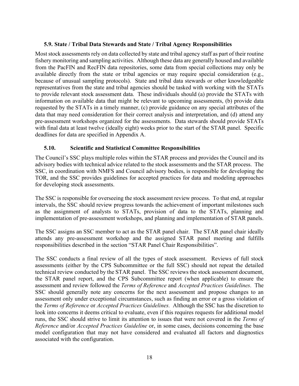#### <span id="page-18-0"></span>**5.9. State / Tribal Data Stewards and State / Tribal Agency Responsibilities**

Most stock assessments rely on data collected by state and tribal agency staff as part of their routine fishery monitoring and sampling activities. Although these data are generally housed and available from the PacFIN and RecFIN data repositories, some data from special collections may only be available directly from the state or tribal agencies or may require special consideration (e.g., because of unusual sampling protocols). State and tribal data stewards or other knowledgeable representatives from the state and tribal agencies should be tasked with working with the STATs to provide relevant stock assessment data. These individuals should (a) provide the STATs with information on available data that might be relevant to upcoming assessments, (b) provide data requested by the STATs in a timely manner, (c) provide guidance on any special attributes of the data that may need consideration for their correct analysis and interpretation, and (d) attend any pre-assessment workshops organized for the assessments. Data stewards should provide STATs with final data at least twelve (ideally eight) weeks prior to the start of the STAR panel. Specific deadlines for data are specified in Appendix A.

#### <span id="page-18-1"></span>**5.10. Scientific and Statistical Committee Responsibilities**

The Council's SSC plays multiple roles within the STAR process and provides the Council and its advisory bodies with technical advice related to the stock assessments and the STAR process. The SSC, in coordination with NMFS and Council advisory bodies, is responsible for developing the TOR, and the SSC provides guidelines for accepted practices for data and modeling approaches for developing stock assessments.

The SSC is responsible for overseeing the stock assessment review process. To that end, at regular intervals, the SSC should review progress towards the achievement of important milestones such as the assignment of analysts to STATs, provision of data to the STATs, planning and implementation of pre-assessment workshops, and planning and implementation of STAR panels.

The SSC assigns an SSC member to act as the STAR panel chair. The STAR panel chair ideally attends any pre-assessment workshop and the assigned STAR panel meeting and fulfills responsibilities described in the section "STAR Panel Chair Responsibilities".

The SSC conducts a final review of all the types of stock assessment. Reviews of full stock assessments (either by the CPS Subcommittee or the full SSC) should not repeat the detailed technical review conducted by the STAR panel. The SSC reviews the stock assessment document, the STAR panel report, and the CPS Subcommittee report (when applicable) to ensure the assessment and review followed the *Terms of Reference* and *Accepted Practices Guidelines*. The SSC should generally note any concerns for the next assessment and propose changes to an assessment only under exceptional circumstances, such as finding an error or a gross violation of the *Terms of Reference* or *Accepted Practices Guidelines.* Although the SSC has the discretion to look into concerns it deems critical to evaluate, even if this requires requests for additional model runs, the SSC should strive to limit its attention to issues that were not covered in the *Terms of Reference* and/or *Accepted Practices Guideline* or, in some cases, decisions concerning the base model configuration that may not have considered and evaluated all factors and diagnostics associated with the configuration.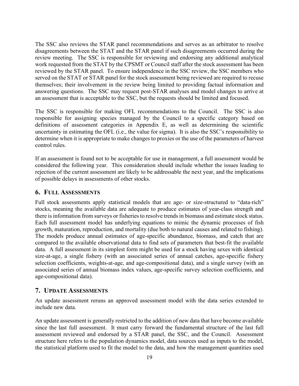The SSC also reviews the STAR panel recommendations and serves as an arbitrator to resolve disagreements between the STAT and the STAR panel if such disagreements occurred during the review meeting. The SSC is responsible for reviewing and endorsing any additional analytical work requested from the STAT by the CPSMT or Council staff after the stock assessment has been reviewed by the STAR panel. To ensure independence in the SSC review, the SSC members who served on the STAT or STAR panel for the stock assessment being reviewed are required to recuse themselves; their involvement in the review being limited to providing factual information and answering questions. The SSC may request post-STAR analyses and model changes to arrive at an assessment that is acceptable to the SSC, but the requests should be limited and focused.

The SSC is responsible for making OFL recommendations to the Council. The SSC is also responsible for assigning species managed by the Council to a specific category based on definitions of assessment categories in Appendix E, as well as determining the scientific uncertainty in estimating the OFL (i.e., the value for sigma). It is also the SSC's responsibility to determine when it is appropriate to make changes to proxies or the use of the parameters of harvest control rules.

If an assessment is found not to be acceptable for use in management, a full assessment would be considered the following year. This consideration should include whether the issues leading to rejection of the current assessment are likely to be addressable the next year, and the implications of possible delays in assessments of other stocks.

#### <span id="page-19-0"></span>**6. FULL ASSESSMENTS**

Full stock assessments apply statistical models that are age- or size-structured to "data-rich" stocks, meaning the available data are adequate to produce estimates of year-class strength and there is information from surveys or fisheries to resolve trends in biomass and estimate stock status. Each full assessment model has underlying equations to mimic the dynamic processes of fish growth, maturation, reproduction, and mortality (due both to natural causes and related to fishing). The models produce annual estimates of age-specific abundance, biomass, and catch that are compared to the available observational data to find sets of parameters that best-fit the available data. A full assessment in its simplest form might be used for a stock having sexes with identical size-at-age, a single fishery (with an associated series of annual catches, age-specific fishery selection coefficients, weights-at-age, and age-compositional data), and a single survey (with an associated series of annual biomass index values, age-specific survey selection coefficients, and age-compositional data).

#### <span id="page-19-1"></span>**7. UPDATE ASSESSMENTS**

An update assessment reruns an approved assessment model with the data series extended to include new data.

An update assessment is generally restricted to the addition of new data that have become available since the last full assessment. It must carry forward the fundamental structure of the last full assessment reviewed and endorsed by a STAR panel, the SSC, and the Council. Assessment structure here refers to the population dynamics model, data sources used as inputs to the model, the statistical platform used to fit the model to the data, and how the management quantities used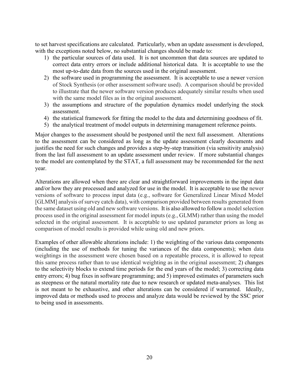to set harvest specifications are calculated. Particularly, when an update assessment is developed, with the exceptions noted below, no substantial changes should be made to:

- 1) the particular sources of data used. It is not uncommon that data sources are updated to correct data entry errors or include additional historical data. It is acceptable to use the most up-to-date data from the sources used in the original assessment.
- 2) the software used in programming the assessment. It is acceptable to use a newer version of Stock Synthesis (or other assessment software used). A comparison should be provided to illustrate that the newer software version produces adequately similar results when used with the same model files as in the original assessment.
- 3) the assumptions and structure of the population dynamics model underlying the stock assessment.
- 4) the statistical framework for fitting the model to the data and determining goodness of fit.
- 5) the analytical treatment of model outputs in determining management reference points.

Major changes to the assessment should be postponed until the next full assessment. Alterations to the assessment can be considered as long as the update assessment clearly documents and justifies the need for such changes and provides a step-by-step transition (via sensitivity analysis) from the last full assessment to an update assessment under review. If more substantial changes to the model are contemplated by the STAT, a full assessment may be recommended for the next year.

Alterations are allowed when there are clear and straightforward improvements in the input data and/or how they are processed and analyzed for use in the model. It is acceptable to use the newer versions of software to process input data (e.g., software for Generalized Linear Mixed Model [GLMM] analysis of survey catch data), with comparison provided between results generated from the same dataset using old and new software versions. It is also allowed to follow a model selection process used in the original assessment for model inputs (e.g., GLMM) rather than using the model selected in the original assessment. It is acceptable to use updated parameter priors as long as comparison of model results is provided while using old and new priors.

Examples of other allowable alterations include: 1) the weighting of the various data components (including the use of methods for tuning the variances of the data components); when data weightings in the assessment were chosen based on a repeatable process, it is allowed to repeat this same process rather than to use identical weighting as in the original assessment; 2) changes to the selectivity blocks to extend time periods for the end years of the model; 3) correcting data entry errors; 4) bug fixes in software programming; and 5) improved estimates of parameters such as steepness or the natural mortality rate due to new research or updated meta-analyses. This list is not meant to be exhaustive, and other alterations can be considered if warranted. Ideally, improved data or methods used to process and analyze data would be reviewed by the SSC prior to being used in assessments.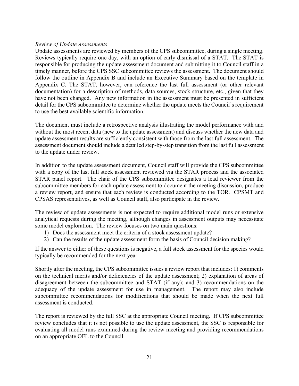#### *Review of Update Assessments*

Update assessments are reviewed by members of the CPS subcommittee, during a single meeting. Reviews typically require one day, with an option of early dismissal of a STAT. The STAT is responsible for producing the update assessment document and submitting it to Council staff in a timely manner, before the CPS SSC subcommittee reviews the assessment. The document should follow the outline in Appendix B and include an Executive Summary based on the template in Appendix C. The STAT, however, can reference the last full assessment (or other relevant documentation) for a description of methods, data sources, stock structure, etc., given that they have not been changed. Any new information in the assessment must be presented in sufficient detail for the CPS subcommittee to determine whether the update meets the Council's requirement to use the best available scientific information.

The document must include a retrospective analysis illustrating the model performance with and without the most recent data (new to the update assessment) and discuss whether the new data and update assessment results are sufficiently consistent with those from the last full assessment. The assessment document should include a detailed step-by-step transition from the last full assessment to the update under review.

In addition to the update assessment document, Council staff will provide the CPS subcommittee with a copy of the last full stock assessment reviewed via the STAR process and the associated STAR panel report. The chair of the CPS subcommittee designates a lead reviewer from the subcommittee members for each update assessment to document the meeting discussion, produce a review report, and ensure that each review is conducted according to the TOR. CPSMT and CPSAS representatives, as well as Council staff, also participate in the review.

The review of update assessments is not expected to require additional model runs or extensive analytical requests during the meeting, although changes in assessment outputs may necessitate some model exploration. The review focuses on two main questions:

- 1) Does the assessment meet the criteria of a stock assessment update?
- 2) Can the results of the update assessment form the basis of Council decision making?

If the answer to either of these questions is negative, a full stock assessment for the species would typically be recommended for the next year.

Shortly after the meeting, the CPS subcommittee issues a review report that includes: 1) comments on the technical merits and/or deficiencies of the update assessment; 2) explanation of areas of disagreement between the subcommittee and STAT (if any); and 3) recommendations on the adequacy of the update assessment for use in management. The report may also include subcommittee recommendations for modifications that should be made when the next full assessment is conducted.

The report is reviewed by the full SSC at the appropriate Council meeting. If CPS subcommittee review concludes that it is not possible to use the update assessment, the SSC is responsible for evaluating all model runs examined during the review meeting and providing recommendations on an appropriate OFL to the Council.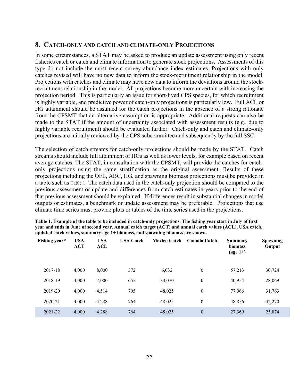#### <span id="page-22-0"></span>**8. CATCH-ONLY AND CATCH AND CLIMATE-ONLY PROJECTIONS**

In some circumstances, a STAT may be asked to produce an update assessment using only recent fisheries catch or catch and climate information to generate stock projections. Assessments of this type do not include the most recent survey abundance index estimates. Projections with only catches revised will have no new data to inform the stock-recruitment relationship in the model. Projections with catches and climate may have new data to inform the deviations around the stockrecruitment relationship in the model. All projections become more uncertain with increasing the projection period. This is particularly an issue for short-lived CPS species, for which recruitment is highly variable, and predictive power of catch-only projections is particularly low. Full ACL or HG attainment should be assumed for the catch projections in the absence of a strong rationale from the CPSMT that an alternative assumption is appropriate. Additional requests can also be made to the STAT if the amount of uncertainty associated with assessment results (e.g., due to highly variable recruitment) should be evaluated further. Catch-only and catch and climate-only projections are initially reviewed by the CPS subcommittee and subsequently by the full SSC.

The selection of catch streams for catch-only projections should be made by the STAT. Catch streams should include full attainment of HGs as well as lower levels, for example based on recent average catches. The STAT, in consultation with the CPSMT, will provide the catches for catchonly projections using the same stratification as the original assessment. Results of these projections including the OFL, ABC, HG, and spawning biomass projections must be provided in a table such as [Table 1.](#page-22-1) The catch data used in the catch-only projection should be compared to the previous assessment or update and differences from catch estimates in years prior to the end of that previous assessment should be explained. If differences result in substantial changes in model outputs or estimates, a benchmark or update assessment may be preferable. Projections that use climate time series must provide plots or tables of the time series used in the projections.

| Fishing year* | <b>USA</b><br><b>ACT</b> | <b>USA</b><br>ACL | <b>USA Catch</b> | <b>Mexico Catch</b> | Canada Catch | Summary<br>biomass<br>$(\text{age }1+)$ | <b>Spawning</b><br>Output |
|---------------|--------------------------|-------------------|------------------|---------------------|--------------|-----------------------------------------|---------------------------|
| 2017-18       | 4,000                    | 8,000             | 372              | 6,032               | $\mathbf{0}$ | 57,213                                  | 30,724                    |
| 2018-19       | 4,000                    | 7,000             | 655              | 33,070              | $\mathbf{0}$ | 40,954                                  | 28,069                    |
| 2019-20       | 4,000                    | 4,514             | 705              | 48,025              | $\mathbf{0}$ | 77,066                                  | 31,763                    |
| 2020-21       | 4,000                    | 4,288             | 764              | 48,025              | $\mathbf{0}$ | 48,856                                  | 42,270                    |
| 2021-22       | 4,000                    | 4,288             | 764              | 48,025              | $\theta$     | 27,369                                  | 25,874                    |

<span id="page-22-1"></span>**Table 1. Example of the table to be included in catch-only projections. The fishing year start in July of first year and ends in June of second year. Annual catch target (ACT) and annual catch values (ACL), USA catch, updated catch values, summary age 1+ biomass, and spawning biomass are shown.**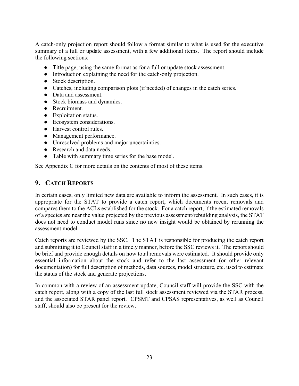A catch-only projection report should follow a format similar to what is used for the executive summary of a full or update assessment, with a few additional items. The report should include the following sections:

- Title page, using the same format as for a full or update stock assessment.
- Introduction explaining the need for the catch-only projection.
- Stock description.
- Catches, including comparison plots (if needed) of changes in the catch series.
- Data and assessment.
- Stock biomass and dynamics.
- Recruitment.
- Exploitation status.
- Ecosystem considerations.
- Harvest control rules.
- Management performance.
- Unresolved problems and major uncertainties.
- Research and data needs.
- Table with summary time series for the base model.

See Appendix C for more details on the contents of most of these items.

## <span id="page-23-0"></span>**9. CATCH REPORTS**

In certain cases, only limited new data are available to inform the assessment. In such cases, it is appropriate for the STAT to provide a catch report, which documents recent removals and compares them to the ACLs established for the stock. For a catch report, if the estimated removals of a species are near the value projected by the previous assessment/rebuilding analysis, the STAT does not need to conduct model runs since no new insight would be obtained by rerunning the assessment model.

Catch reports are reviewed by the SSC. The STAT is responsible for producing the catch report and submitting it to Council staff in a timely manner, before the SSC reviews it. The report should be brief and provide enough details on how total removals were estimated. It should provide only essential information about the stock and refer to the last assessment (or other relevant documentation) for full description of methods, data sources, model structure, etc. used to estimate the status of the stock and generate projections.

In common with a review of an assessment update, Council staff will provide the SSC with the catch report, along with a copy of the last full stock assessment reviewed via the STAR process, and the associated STAR panel report. CPSMT and CPSAS representatives, as well as Council staff, should also be present for the review.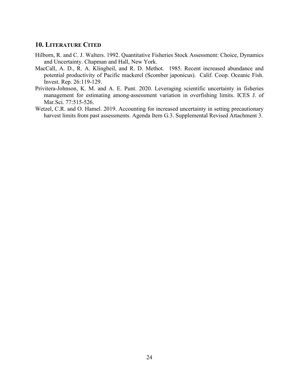## <span id="page-24-0"></span>**10. LITERATURE CITED**

- Hilborn, R. and C. J. Walters. 1992. Quantitative Fisheries Stock Assessment: Choice, Dynamics and Uncertainty. Chapman and Hall, New York.
- MacCall, A. D., R. A. Klingbeil, and R. D. Methot. 1985. Recent increased abundance and potential productivity of Pacific mackerel (Scomber japonicus). Calif. Coop. Oceanic Fish. Invest. Rep. 26:119-129.
- Privitera-Johnson, K. M. and A. E. Punt. 2020. Leveraging scientific uncertainty in fisheries management for estimating among-assessment variation in overfishing limits. ICES J. of Mar.Sci. 77:515-526.
- Wetzel, C.R. and O. Hamel. 2019. Accounting for increased uncertainty in setting precautionary harvest limits from past assessments. Agenda Item G.3. Supplemental Revised Attachment 3.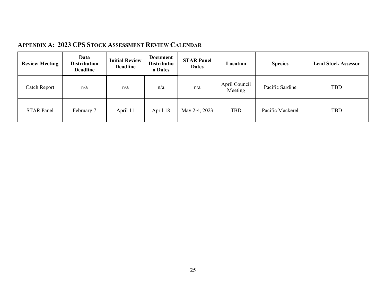| APPENDIX A: 2023 CPS STOCK ASSESSMENT REVIEW CALENDAR |  |  |  |  |  |
|-------------------------------------------------------|--|--|--|--|--|
|-------------------------------------------------------|--|--|--|--|--|

<span id="page-25-0"></span>

| <b>Review Meeting</b> | Data<br><b>Distribution</b><br><b>Deadline</b> | <b>Initial Review</b><br><b>Deadline</b> | <b>Document</b><br><b>Distributio</b><br>n Dates | <b>STAR Panel</b><br><b>Dates</b> | Location                 | <b>Species</b>   | <b>Lead Stock Assessor</b> |
|-----------------------|------------------------------------------------|------------------------------------------|--------------------------------------------------|-----------------------------------|--------------------------|------------------|----------------------------|
| Catch Report          | n/a                                            | n/a                                      | n/a                                              | n/a                               | April Council<br>Meeting | Pacific Sardine  | <b>TBD</b>                 |
| <b>STAR Panel</b>     | February 7                                     | April 11                                 | April 18                                         | May 2-4, 2023                     | <b>TBD</b>               | Pacific Mackerel | <b>TBD</b>                 |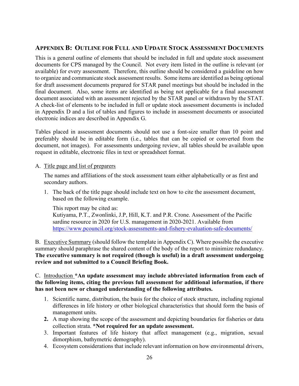## <span id="page-26-0"></span>**APPENDIX B: OUTLINE FOR FULL AND UPDATE STOCK ASSESSMENT DOCUMENTS**

This is a general outline of elements that should be included in full and update stock assessment documents for CPS managed by the Council. Not every item listed in the outline is relevant (or available) for every assessment. Therefore, this outline should be considered a guideline on how to organize and communicate stock assessment results. Some items are identified as being optional for draft assessment documents prepared for STAR panel meetings but should be included in the final document. Also, some items are identified as being not applicable for a final assessment document associated with an assessment rejected by the STAR panel or withdrawn by the STAT. A check-list of elements to be included in full or update stock assessment documents is included in Appendix D and a list of tables and figures to include in assessment documents or associated electronic indices are described in Appendix G.

Tables placed in assessment documents should not use a font-size smaller than 10 point and preferably should be in editable form (i.e., tables that can be copied or converted from the document, not images). For assessments undergoing review, all tables should be available upon request in editable, electronic files in text or spreadsheet format.

#### A. Title page and list of preparers

The names and affiliations of the stock assessment team either alphabetically or as first and secondary authors.

1. The back of the title page should include text on how to cite the assessment document, based on the following example.

This report may be cited as:

Kutiyama, P.T., Zwonlinki, J.P, Hill, K.T. and P.R. Crone. Assessment of the Pacific sardine resource in 2020 for U.S. management in 2020-2021. Available from <https://www.pcouncil.org/stock-assessments-and-fishery-evaluation-safe-documents/>

B. Executive Summary (should follow the template in Appendix C). Where possible the executive summary should paraphrase the shared content of the body of the report to minimize redundancy. **The executive summary is not required (though is useful) in a draft assessment undergoing review and not submitted to a Council Briefing Book.**

C. Introduction **\*An update assessment may include abbreviated information from each of the following items, citing the previous full assessment for additional information, if there has not been new or changed understanding of the following attributes.**

- 1. Scientific name, distribution, the basis for the choice of stock structure, including regional differences in life history or other biological characteristics that should form the basis of management units.
- **2.** A map showing the scope of the assessment and depicting boundaries for fisheries or data collection strata. **\*Not required for an update assessment.**
- 3. Important features of life history that affect management (e.g., migration, sexual dimorphism, bathymetric demography).
- 4. Ecosystem considerations that include relevant information on how environmental drivers,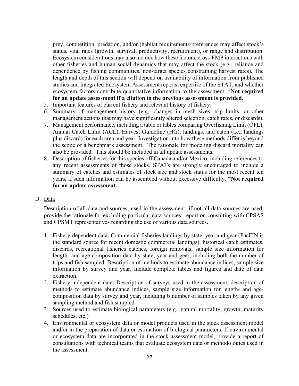prey, competition, predation, and/or (habitat requirements/preferences may affect stock's status, vital rates (growth, survival, productivity, recruitment), or range and distribution. Ecosystem considerations may also include how these factors, cross-FMP interactions with other fisheries and human social dynamics that may affect the stock (e.g., reliance and dependence by fishing communities, non-target species constraining harvest rates). The length and depth of this section will depend on availability of information from published studies and Integrated Ecosystem Assessment reports, expertise of the STAT, and whether ecosystem factors contribute quantitative information to the assessment. **\*Not required for an update assessment if a citation to the previous assessment is provided.**

- 5. Important features of current fishery and relevant history of fishery.
- 6. Summary of management history (e.g., changes in mesh sizes, trip limits, or other management actions that may have significantly altered selection, catch rates, or discards).
- 7. Management performance, including a table or tables comparing Overfishing Limit (OFL), Annual Catch Limit (ACL), Harvest Guideline (HG), landings, and catch (i.e., landings plus discard) for each area and year. Investigation into how these methods differ is beyond the scope of a benchmark assessment. The rationale for modeling discard mortality can also be provided. This should be included in all update assessments.
- 8. Description of fisheries for this species off Canada and/or Mexico, including references to any recent assessments of those stocks. STATs are strongly encouraged to include a summary of catches and estimates of stock size and stock status for the most recent ten years, if such information can be assembled without excessive difficulty. **\*Not required for an update assessment.**

#### D. Data

Description of all data and sources, used in the assessment; if not all data sources are used, provide the rationale for excluding particular data sources; report on consulting with CPSAS and CPSMT representatives regarding the use of various data sources.

- 1. Fishery-dependent data: Commercial fisheries landings by state, year and gear (PacFIN is the standard source for recent domestic commercial landings), historical catch estimates, discards, recreational fisheries catches, foreign removals; sample size information for length- and age-composition data by state, year and gear, including both the number of trips and fish sampled. Description of methods to estimate abundance indices, sample size information by survey and year. Include complete tables and figures and date of data extraction.
- 2. Fishery-independent data: Description of surveys used in the assessment, description of methods to estimate abundance indices, sample size information for length- and agecomposition data by survey and year, including b number of samples taken by any given sampling method and fish sampled
- 3. Sources used to estimate biological parameters (e.g., natural mortality, growth, maturity schedules, etc.)
- 4. Environmental or ecosystem data or model products used in the stock assessment model and/or in the preparation of data or estimation of biological parameters. If environmental or ecosystem data are incorporated in the stock assessment model, provide a report of consultations with technical teams that evaluate ecosystem data or methodologies used in the assessment.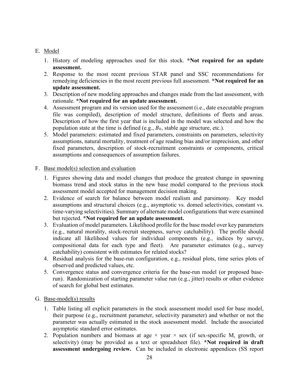#### E. Model

- 1. History of modeling approaches used for this stock. **\*Not required for an update assessment.**
- 2. Response to the most recent previous STAR panel and SSC recommendations for remedying deficiencies in the most recent previous full assessment. **\*Not required for an update assessment.**
- 3. Description of new modeling approaches and changes made from the last assessment, with rationale. **\*Not required for an update assessment.**
- 4. Assessment program and its version used for the assessment (i.e., date executable program file was compiled), description of model structure, definitions of fleets and areas. Description of how the first year that is included in the model was selected and how the population state at the time is defined  $(e.g., B<sub>0</sub>, stable age structure, etc.).$
- 5. Model parameters: estimated and fixed parameters, constraints on parameters, selectivity assumptions, natural mortality, treatment of age reading bias and/or imprecision, and other fixed parameters, description of stock-recruitment constraints or components, critical assumptions and consequences of assumption failures.

#### F. Base model(s) selection and evaluation

- 1. Figures showing data and model changes that produce the greatest change in spawning biomass trend and stock status in the new base model compared to the previous stock assessment model accepted for management decision making.
- 2. Evidence of search for balance between model realism and parsimony. Key model assumptions and structural choices (e.g., asymptotic vs. domed selectivities, constant vs. time-varying selectivities). Summary of alternate model configurations that were examined but rejected. **\*Not required for an update assessment.**
- 3. Evaluation of model parameters. Likelihood profile for the base model over key parameters (e.g., natural morality, stock-recruit steepness, survey catchability). The profile should indicate all likelihood values for individual components (e.g., indices by survey, compositional data for each type and fleet). Are parameter estimates (e.g., survey catchability) consistent with estimates for related stocks?
- 4. Residual analysis for the base-run configuration, e.g., residual plots, time series plots of observed and predicted values, etc.
- 5. Convergence status and convergence criteria for the base-run model (or proposed baserun). Randomization of starting parameter value run (e.g., jitter) results or other evidence of search for global best estimates.
- G. Base-model(s) results
	- 1. Table listing all explicit parameters in the stock assessment model used for base model, their purpose (e.g., recruitment parameter, selectivity parameter) and whether or not the parameter was actually estimated in the stock assessment model. Include the associated asymptotic standard error estimates.
	- 2. Population numbers and biomass at age  $\times$  year  $\times$  sex (if sex-specific M, growth, or selectivity) (may be provided as a text or spreadsheet file). **\*Not required in draft assessment undergoing review.** Can be included in electronic appendices (SS report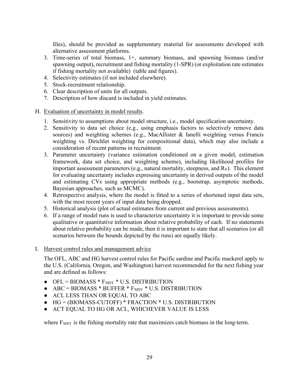files), should be provided as supplementary material for assessments developed with alternative assessment platforms.

- 3. Time-series of total biomass, 1+, summary biomass, and spawning biomass (and/or spawning output), recruitment and fishing mortality (1-SPR) (or exploitation rate estimates if fishing mortality not available) (table and figures).
- 4. Selectivity estimates (if not included elsewhere).
- 5. Stock-recruitment relationship.
- 6. Clear description of units for all outputs.
- 7. Description of how discard is included in yield estimates.
- H. Evaluation of uncertainty in model results.
	- 1. Sensitivity to assumptions about model structure, i.e., model specification uncertainty.
	- 2. Sensitivity to data set choice (e.g., using emphasis factors to selectively remove data sources) and weighting schemes (e.g., MacAllister & Ianelli weighting versus Francis weighting vs. Dirichlet weighting for compositional data), which may also include a consideration of recent patterns in recruitment.
	- 3. Parameter uncertainty (variance estimation conditioned on a given model, estimation framework, data set choice, and weighting scheme), including likelihood profiles for important assessment parameters (e.g., natural mortality, steepness, and  $R_0$ ). This element for evaluating uncertainty includes expressing uncertainty in derived outputs of the model and estimating CVs using appropriate methods (e.g., bootstrap, asymptotic methods, Bayesian approaches, such as MCMC).
	- 4. Retrospective analysis, where the model is fitted to a series of shortened input data sets, with the most recent years of input data being dropped.
	- 5. Historical analysis (plot of actual estimates from current and previous assessments).
	- 6. If a range of model runs is used to characterize uncertainty it is important to provide some qualitative or quantitative information about relative probability of each. If no statements about relative probability can be made, then it is important to state that all scenarios (or all scenarios between the bounds depicted by the runs) are equally likely.
- I. Harvest control rules and management advice

The OFL, ABC and HG harvest control rules for Pacific sardine and Pacific mackerel apply to the U.S. (California, Oregon, and Washington) harvest recommended for the next fishing year and are defined as follows:

- $\bullet$  OFL = BIOMASS  $*$  F<sub>MSY</sub>  $*$  U.S. DISTRIBUTION
- $\bullet$  ABC = BIOMASS \* BUFFER \*  $F_{MSY}$  \* U.S. DISTRIBUTION
- ACL LESS THAN OR EQUAL TO ABC
- HG = (BIOMASS-CUTOFF) \* FRACTION \* U.S. DISTRIBUTION
- ACT EQUAL TO HG OR ACL, WHICHEVER VALUE IS LESS

where  $F_{\text{MSY}}$  is the fishing mortality rate that maximizes catch biomass in the long-term.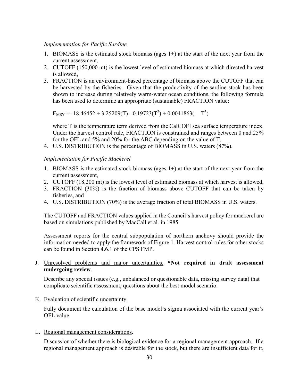#### *Implementation for Pacific Sardine*

- 1. BIOMASS is the estimated stock biomass (ages  $1+$ ) at the start of the next year from the current assessment,
- 2. CUTOFF (150,000 mt) is the lowest level of estimated biomass at which directed harvest is allowed,
- 3. FRACTION is an environment-based percentage of biomass above the CUTOFF that can be harvested by the fisheries. Given that the productivity of the sardine stock has been shown to increase during relatively warm-water ocean conditions, the following formula has been used to determine an appropriate (sustainable) FRACTION value:

 $F_{MSY} = -18.46452 + 3.25209(T) - 0.19723(T^2) + 0.0041863(T^3)$ 

where T is the temperature term derived from the CalCOFI sea surface temperature index. Under the harvest control rule, FRACTION is constrained and ranges between 0 and 25% for the OFL and 5% and 20% for the ABC depending on the value of T.

4. U.S. DISTRIBUTION is the percentage of BIOMASS in U.S. waters (87%).

#### *Implementation for Pacific Mackerel*

- 1. BIOMASS is the estimated stock biomass (ages  $1+$ ) at the start of the next year from the current assessment,
- 2. CUTOFF (18,200 mt) is the lowest level of estimated biomass at which harvest is allowed,
- 3. FRACTION (30%) is the fraction of biomass above CUTOFF that can be taken by fisheries, and
- 4. U.S. DISTRIBUTION (70%) is the average fraction of total BIOMASS in U.S. waters.

The CUTOFF and FRACTION values applied in the Council's harvest policy for mackerel are based on simulations published by MacCall et al. in 1985.

Assessment reports for the central subpopulation of northern anchovy should provide the information needed to apply the framework of Figure 1. Harvest control rules for other stocks can be found in Section 4.6.1 of the CPS FMP.

#### J. Unresolved problems and major uncertainties. **\*Not required in draft assessment undergoing review**.

Describe any special issues (e.g., unbalanced or questionable data, missing survey data) that complicate scientific assessment, questions about the best model scenario.

K. Evaluation of scientific uncertainty.

Fully document the calculation of the base model's sigma associated with the current year's OFL value.

L. Regional management considerations.

Discussion of whether there is biological evidence for a regional management approach. If a regional management approach is desirable for the stock, but there are insufficient data for it,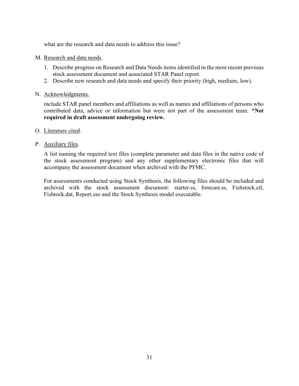what are the research and data needs to address this issue?

- M. Research and data needs.
	- 1. Describe progress on Research and Data Needs items identified in the most recent previous stock assessment document and associated STAR Panel report.
	- 2. Describe new research and data needs and specify their priority (high, medium, low).
- N. Acknowledgments.

Include STAR panel members and affiliations as well as names and affiliations of persons who contributed data, advice or information but were not part of the assessment team. **\*Not required in draft assessment undergoing review.**

- O. Literature cited.
- P. Auxiliary files.

A list naming the required text files (complete parameter and data files in the native code of the stock assessment program) and any other supplementary electronic files that will accompany the assessment document when archived with the PFMC.

For assessments conducted using Stock Synthesis, the following files should be included and archived with the stock assessment document: starter.ss, forecast.ss, Fishstock.ctl, Fishtock.dat, Report.sso and the Stock Synthesis model executable.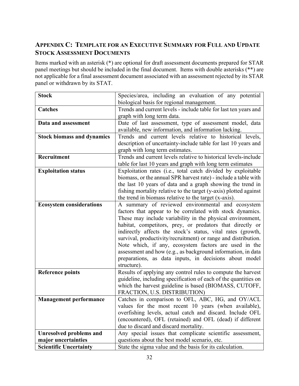## <span id="page-32-0"></span>**APPENDIX C: TEMPLATE FOR AN EXECUTIVE SUMMARY FOR FULL AND UPDATE STOCK ASSESSMENT DOCUMENTS**

Items marked with an asterisk (**\***) are optional for draft assessment documents prepared for STAR panel meetings but should be included in the final document. Items with double asterisks (\*\*) are not applicable for a final assessment document associated with an assessment rejected by its STAR panel or withdrawn by its STAT.

| <b>Stock</b>                      | Species/area, including an evaluation of any potential            |
|-----------------------------------|-------------------------------------------------------------------|
|                                   | biological basis for regional management.                         |
| <b>Catches</b>                    | Trends and current levels - include table for last ten years and  |
|                                   | graph with long term data.                                        |
| Data and assessment               | Date of last assessment, type of assessment model, data           |
|                                   | available, new information, and information lacking.              |
| <b>Stock biomass and dynamics</b> | Trends and current levels relative to historical levels,          |
|                                   | description of uncertainty-include table for last 10 years and    |
|                                   | graph with long term estimates.                                   |
| Recruitment                       | Trends and current levels relative to historical levels-include   |
|                                   | table for last 10 years and graph with long term estimates        |
| <b>Exploitation status</b>        | Exploitation rates (i.e., total catch divided by exploitable      |
|                                   | biomass, or the annual SPR harvest rate) - include a table with   |
|                                   | the last 10 years of data and a graph showing the trend in        |
|                                   | fishing mortality relative to the target (y-axis) plotted against |
|                                   | the trend in biomass relative to the target (x-axis).             |
| <b>Ecosystem considerations</b>   | A summary of reviewed environmental and ecosystem                 |
|                                   | factors that appear to be correlated with stock dynamics.         |
|                                   | These may include variability in the physical environment,        |
|                                   | habitat, competitors, prey, or predators that directly or         |
|                                   | indirectly affects the stock's status, vital rates (growth,       |
|                                   | survival, productivity/recruitment) or range and distribution.    |
|                                   | Note which, if any, ecosystem factors are used in the             |
|                                   | assessment and how (e.g., as background information, in data      |
|                                   | preparations, as data inputs, in decisions about model            |
|                                   | structure).                                                       |
| <b>Reference points</b>           | Results of applying any control rules to compute the harvest      |
|                                   | guideline, including specification of each of the quantities on   |
|                                   | which the harvest guideline is based (BIOMASS, CUTOFF,            |
|                                   | FRACTION, U.S. DISTRIBUTION)                                      |
| <b>Management performance</b>     | Catches in comparison to OFL, ABC, HG, and OY/ACL                 |
|                                   | values for the most recent 10 years (when available),             |
|                                   | overfishing levels, actual catch and discard. Include OFL         |
|                                   | (encountered), OFL (retained) and OFL (dead) if different         |
|                                   | due to discard and discard mortality.                             |
| <b>Unresolved problems and</b>    | Any special issues that complicate scientific assessment,         |
| major uncertainties               | questions about the best model scenario, etc.                     |
| <b>Scientific Uncertainty</b>     | State the sigma value and the basis for its calculation.          |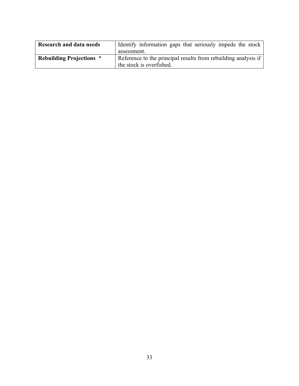| <b>Research and data needs</b>  | Identify information gaps that seriously impede the stock      |
|---------------------------------|----------------------------------------------------------------|
|                                 | assessment.                                                    |
| <b>Rebuilding Projections *</b> | Reference to the principal results from rebuilding analysis if |
|                                 | the stock is overfished.                                       |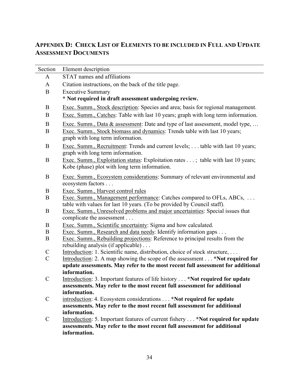## <span id="page-34-0"></span>**APPENDIX D: CHECK LIST OF ELEMENTS TO BE INCLUDED IN FULL AND UPDATE ASSESSMENT DOCUMENTS**

| Section       | Element description                                                                                                                             |
|---------------|-------------------------------------------------------------------------------------------------------------------------------------------------|
| A             | STAT names and affiliations                                                                                                                     |
| $\mathbf{A}$  | Citation instructions, on the back of the title page.                                                                                           |
| $\bf{B}$      | <b>Executive Summary</b>                                                                                                                        |
|               | * Not required in draft assessment undergoing review.                                                                                           |
| B             | Exec. Summ., Stock description: Species and area; basis for regional management.                                                                |
| B             | Exec. Summ., Catches: Table with last 10 years; graph with long term information.                                                               |
| $\mathbf B$   | Exec. Summ., Data & assessment: Date and type of last assessment, model type,                                                                   |
| B             | Exec. Summ., Stock biomass and dynamics: Trends table with last 10 years;<br>graph with long term information.                                  |
| B             | Exec. Summ., Recruitment: Trends and current levels; table with last 10 years;<br>graph with long term information.                             |
| B             | Exec. Summ., Exploitation status: Exploitation rates ; table with last 10 years;<br>Kobe (phase) plot with long term information.               |
| B             | Exec. Summ., Ecosystem considerations: Summary of relevant environmental and<br>ecosystem factors                                               |
| B             | Exec. Summ., Harvest control rules                                                                                                              |
| B             | Exec. Summ., Management performance: Catches compared to OFLs, ABCs,<br>table with values for last 10 years. (To be provided by Council staff). |
| B             | Exec. Summ., Unresolved problems and major uncertainties: Special issues that<br>complicate the assessment                                      |
| B             | Exec. Summ., Scientific uncertainty: Sigma and how calculated.                                                                                  |
| B             | Exec. Summ., Research and data needs: Identify information gaps                                                                                 |
| B             | Exec. Summ., Rebuilding projections: Reference to principal results from the<br>rebuilding analysis (if applicable)                             |
| $\mathcal{C}$ | Introduction: 1. Scientific name, distribution, choice of stock structure,                                                                      |
| $\mathcal{C}$ | Introduction: 2. A map showing the scope of the assessment *Not required for                                                                    |
|               | update assessments. May refer to the most recent full assessment for additional                                                                 |
|               | information.                                                                                                                                    |
| $\mathcal{C}$ | Introduction: 3. Important features of life history *Not required for update                                                                    |
|               | assessments. May refer to the most recent full assessment for additional<br>information.                                                        |
| $\mathcal{C}$ | introduction: 4. Ecosystem considerations *Not required for update                                                                              |
|               | assessments. May refer to the most recent full assessment for additional                                                                        |
|               | information.                                                                                                                                    |
| $\mathcal{C}$ | Introduction: 5. Important features of current fishery *Not required for update                                                                 |
|               | assessments. May refer to the most recent full assessment for additional                                                                        |
|               | information.                                                                                                                                    |
|               |                                                                                                                                                 |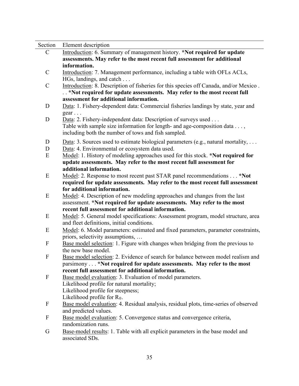| Section                   | Element description                                                                                                               |
|---------------------------|-----------------------------------------------------------------------------------------------------------------------------------|
| $\mathbf C$               | Introduction: 6. Summary of management history. *Not required for update                                                          |
|                           | assessments. May refer to the most recent full assessment for additional                                                          |
|                           | information.                                                                                                                      |
| $\mathbf C$               | Introduction: 7. Management performance, including a table with OFLs ACLs,                                                        |
|                           | HGs, landings, and catch                                                                                                          |
| $\mathcal{C}$             | Introduction: 8. Description of fisheries for this species off Canada, and/or Mexico.                                             |
|                           | *Not required for update assessments. May refer to the most recent full                                                           |
|                           | assessment for additional information.                                                                                            |
| D                         | Data: 1. Fishery-dependent data: Commercial fisheries landings by state, year and                                                 |
|                           | $gen \dots$                                                                                                                       |
| D                         | Data: 2. Fishery-independent data: Description of surveys used                                                                    |
|                           | Table with sample size information for length- and age-composition data $\dots$ ,                                                 |
|                           | including both the number of tows and fish sampled.                                                                               |
| D                         | Data: 3. Sources used to estimate biological parameters (e.g., natural mortality,                                                 |
| D                         |                                                                                                                                   |
| E                         | Data: 4. Environmental or ecosystem data used.<br>Model: 1. History of modeling approaches used for this stock. *Not required for |
|                           | update assessments. May refer to the most recent full assessment for                                                              |
|                           | additional information.                                                                                                           |
| E                         | Model: 2. Response to most recent past STAR panel recommendations *Not                                                            |
|                           | required for update assessments. May refer to the most recent full assessment                                                     |
|                           | for additional information.                                                                                                       |
| E                         | Model: 4. Description of new modeling approaches and changes from the last                                                        |
|                           | assessment. *Not required for update assessments. May refer to the most                                                           |
|                           | recent full assessment for additional information.                                                                                |
| E                         | Model: 5. General model specifications: Assessment program, model structure, area                                                 |
|                           | and fleet definitions, initial conditions.                                                                                        |
|                           |                                                                                                                                   |
| E                         | Model: 6. Model parameters: estimated and fixed parameters, parameter constraints,                                                |
| $\boldsymbol{\mathrm{F}}$ | priors, selectivity assumptions,                                                                                                  |
|                           | Base model selection: 1. Figure with changes when bridging from the previous to<br>the new base model.                            |
| $\boldsymbol{F}$          | Base model selection: 2. Evidence of search for balance between model realism and                                                 |
|                           |                                                                                                                                   |
|                           | parsimony *Not required for update assessments. May refer to the most<br>recent full assessment for additional information.       |
| F                         | Base model evaluation: 3. Evaluation of model parameters.                                                                         |
|                           | Likelihood profile for natural mortality;                                                                                         |
|                           | Likelihood profile for steepness;                                                                                                 |
|                           | Likelihood profile for $R_0$ .                                                                                                    |
| F                         | Base model evaluation: 4. Residual analysis, residual plots, time-series of observed                                              |
|                           | and predicted values.                                                                                                             |
|                           |                                                                                                                                   |
| F                         | Base model evaluation: 5. Convergence status and convergence criteria,                                                            |
|                           | randomization runs.                                                                                                               |
| G                         | Base-model results: 1. Table with all explicit parameters in the base model and                                                   |
|                           | associated SDs.                                                                                                                   |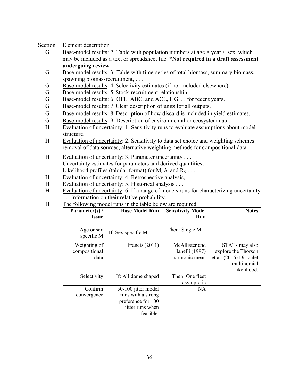| Section | Element description                                                       |                                                                                                       |                          |                |  |  |  |  |  |  |  |  |  |
|---------|---------------------------------------------------------------------------|-------------------------------------------------------------------------------------------------------|--------------------------|----------------|--|--|--|--|--|--|--|--|--|
| G       |                                                                           | <u>Base-model results</u> : 2. Table with population numbers at age $\times$ year $\times$ sex, which |                          |                |  |  |  |  |  |  |  |  |  |
|         |                                                                           | may be included as a text or spreadsheet file. *Not required in a draft assessment                    |                          |                |  |  |  |  |  |  |  |  |  |
|         | undergoing review.                                                        |                                                                                                       |                          |                |  |  |  |  |  |  |  |  |  |
| G       |                                                                           | Base-model results: 3. Table with time-series of total biomass, summary biomass,                      |                          |                |  |  |  |  |  |  |  |  |  |
|         | spawning biomassrecruitment,                                              |                                                                                                       |                          |                |  |  |  |  |  |  |  |  |  |
| G       | Base-model results: 4. Selectivity estimates (if not included elsewhere). |                                                                                                       |                          |                |  |  |  |  |  |  |  |  |  |
| G       |                                                                           | Base-model results: 5. Stock-recruitment relationship.                                                |                          |                |  |  |  |  |  |  |  |  |  |
| G       |                                                                           | Base-model results: 6. OFL, ABC, and ACL, HG. for recent years.                                       |                          |                |  |  |  |  |  |  |  |  |  |
| G       |                                                                           | Base-model results: 7. Clear description of units for all outputs.                                    |                          |                |  |  |  |  |  |  |  |  |  |
| G       |                                                                           | Base-model results: 8. Description of how discard is included in yield estimates.                     |                          |                |  |  |  |  |  |  |  |  |  |
| G       |                                                                           | Base-model results: 9. Description of environmental or ecosystem data.                                |                          |                |  |  |  |  |  |  |  |  |  |
| H       |                                                                           | Evaluation of uncertainty: 1. Sensitivity runs to evaluate assumptions about model                    |                          |                |  |  |  |  |  |  |  |  |  |
|         | structure.                                                                |                                                                                                       |                          |                |  |  |  |  |  |  |  |  |  |
| H       |                                                                           | Evaluation of uncertainty: 2. Sensitivity to data set choice and weighting schemes:                   |                          |                |  |  |  |  |  |  |  |  |  |
|         |                                                                           | removal of data sources; alternative weighting methods for compositional data.                        |                          |                |  |  |  |  |  |  |  |  |  |
| H       |                                                                           | Evaluation of uncertainty: 3. Parameter uncertainty                                                   |                          |                |  |  |  |  |  |  |  |  |  |
|         |                                                                           | Uncertainty estimates for parameters and derived quantities;                                          |                          |                |  |  |  |  |  |  |  |  |  |
|         |                                                                           | Likelihood profiles (tabular format) for M, $h$ , and $R_0 \ldots$                                    |                          |                |  |  |  |  |  |  |  |  |  |
| H       |                                                                           | Evaluation of uncertainty: 4. Retrospective analysis, $\dots$                                         |                          |                |  |  |  |  |  |  |  |  |  |
| H       |                                                                           | Evaluation of uncertainty: 5. Historical analysis                                                     |                          |                |  |  |  |  |  |  |  |  |  |
| H       |                                                                           | Evaluation of uncertainty: 6. If a range of models runs for characterizing uncertainty                |                          |                |  |  |  |  |  |  |  |  |  |
|         |                                                                           | information on their relative probability.                                                            |                          |                |  |  |  |  |  |  |  |  |  |
| H       |                                                                           | The following model runs in the table below are required.                                             |                          |                |  |  |  |  |  |  |  |  |  |
|         | Parameter(s) $/$                                                          | <b>Base Model Run</b>                                                                                 | <b>Sensitivity Model</b> | <b>Notes</b>   |  |  |  |  |  |  |  |  |  |
|         | <b>Issue</b><br>Run                                                       |                                                                                                       |                          |                |  |  |  |  |  |  |  |  |  |
|         |                                                                           |                                                                                                       |                          |                |  |  |  |  |  |  |  |  |  |
|         | Then: Single M<br>Age or sex                                              |                                                                                                       |                          |                |  |  |  |  |  |  |  |  |  |
|         | specific M                                                                | If: Sex specific M                                                                                    |                          |                |  |  |  |  |  |  |  |  |  |
|         | Weighting of                                                              | Francis (2011)                                                                                        | McAllister and           | STATs may also |  |  |  |  |  |  |  |  |  |
|         |                                                                           |                                                                                                       |                          |                |  |  |  |  |  |  |  |  |  |

Selectivity If: All dome shaped Then: One fleet

50-100 jitter model runs with a strong preference for 100 jitter runs when feasible.

Ianelli (1997) harmonic mean

asymptotic

NA

explore the Thorson et al. (2016) Dirichlet

multinomial likelihood.

compositional

data

Confirm convergence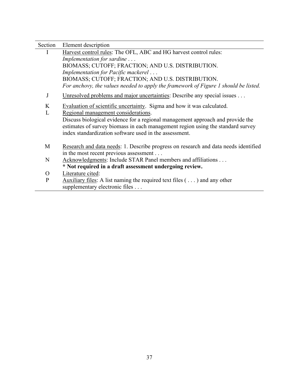| Section      | Element description                                                                                                                                                                                                         |  |  |  |  |  |  |  |  |
|--------------|-----------------------------------------------------------------------------------------------------------------------------------------------------------------------------------------------------------------------------|--|--|--|--|--|--|--|--|
| I            | Harvest control rules: The OFL, ABC and HG harvest control rules:                                                                                                                                                           |  |  |  |  |  |  |  |  |
|              | Implementation for sardine                                                                                                                                                                                                  |  |  |  |  |  |  |  |  |
|              | BIOMASS; CUTOFF; FRACTION; AND U.S. DISTRIBUTION.                                                                                                                                                                           |  |  |  |  |  |  |  |  |
|              | Implementation for Pacific mackerel                                                                                                                                                                                         |  |  |  |  |  |  |  |  |
|              | BIOMASS; CUTOFF; FRACTION; AND U.S. DISTRIBUTION.                                                                                                                                                                           |  |  |  |  |  |  |  |  |
|              | For anchovy, the values needed to apply the framework of Figure 1 should be listed.                                                                                                                                         |  |  |  |  |  |  |  |  |
| J            | Unresolved problems and major uncertainties: Describe any special issues                                                                                                                                                    |  |  |  |  |  |  |  |  |
| K            | Evaluation of scientific uncertainty. Sigma and how it was calculated.                                                                                                                                                      |  |  |  |  |  |  |  |  |
| L            | Regional management considerations.                                                                                                                                                                                         |  |  |  |  |  |  |  |  |
|              | Discuss biological evidence for a regional management approach and provide the<br>estimates of survey biomass in each management region using the standard survey<br>index standardization software used in the assessment. |  |  |  |  |  |  |  |  |
| M            | Research and data needs: 1. Describe progress on research and data needs identified<br>in the most recent previous assessment                                                                                               |  |  |  |  |  |  |  |  |
| N            | Acknowledgments: Include STAR Panel members and affiliations                                                                                                                                                                |  |  |  |  |  |  |  |  |
|              | * Not required in a draft assessment undergoing review.                                                                                                                                                                     |  |  |  |  |  |  |  |  |
| O            | Literature cited:                                                                                                                                                                                                           |  |  |  |  |  |  |  |  |
| $\mathbf{P}$ | Auxiliary files: A list naming the required text files $(\ldots)$ and any other                                                                                                                                             |  |  |  |  |  |  |  |  |
|              | supplementary electronic files                                                                                                                                                                                              |  |  |  |  |  |  |  |  |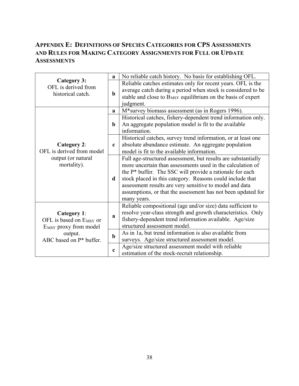## <span id="page-38-0"></span>**APPENDIX E: DEFINITIONS OF SPECIES CATEGORIES FOR CPS ASSESSMENTS AND RULES FOR MAKING CATEGORY ASSIGNMENTS FOR FULL OR UPDATE ASSESSMENTS**

|                                                                                                | a           | No reliable catch history. No basis for establishing OFL.                                                                                                                                                                                                                                                                                                                                      |
|------------------------------------------------------------------------------------------------|-------------|------------------------------------------------------------------------------------------------------------------------------------------------------------------------------------------------------------------------------------------------------------------------------------------------------------------------------------------------------------------------------------------------|
| <b>Category 3:</b><br>OFL is derived from<br>historical catch.                                 | $\mathbf b$ | Reliable catches estimates only for recent years. OFL is the<br>average catch during a period when stock is considered to be<br>stable and close to B <sub>MSY</sub> equilibrium on the basis of expert<br>judgment.                                                                                                                                                                           |
|                                                                                                | a           | M*survey biomass assessment (as in Rogers 1996).                                                                                                                                                                                                                                                                                                                                               |
|                                                                                                | $\mathbf b$ | Historical catches, fishery-dependent trend information only.<br>An aggregate population model is fit to the available<br>information.                                                                                                                                                                                                                                                         |
| <b>Category 2:</b><br>OFL is derived from model                                                | $\mathbf c$ | Historical catches, survey trend information, or at least one<br>absolute abundance estimate. An aggregate population<br>model is fit to the available information.                                                                                                                                                                                                                            |
| output (or natural<br>mortality).                                                              | d           | Full age-structured assessment, but results are substantially<br>more uncertain than assessments used in the calculation of<br>the P* buffer. The SSC will provide a rationale for each<br>stock placed in this category. Reasons could include that<br>assessment results are very sensitive to model and data<br>assumptions, or that the assessment has not been updated for<br>many years. |
| <b>Category 1:</b><br>OFL is based on E <sub>MSY</sub> or<br>E <sub>MSY</sub> proxy from model |             | Reliable compositional (age and/or size) data sufficient to<br>resolve year-class strength and growth characteristics. Only<br>fishery-dependent trend information available. Age/size<br>structured assessment model.                                                                                                                                                                         |
| output.<br>ABC based on P* buffer.                                                             | $\mathbf b$ | As in 1a, but trend information is also available from<br>surveys. Age/size structured assessment model.                                                                                                                                                                                                                                                                                       |
|                                                                                                | $\mathbf c$ | Age/size structured assessment model with reliable<br>estimation of the stock-recruit relationship.                                                                                                                                                                                                                                                                                            |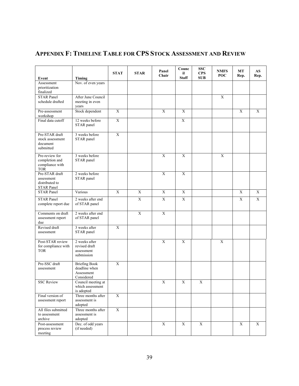<span id="page-39-1"></span>

| Event                                                               | Timing                                                            | <b>STAT</b>    | <b>STAR</b> | Panel<br>Chair          | Counc<br>il<br><b>Staff</b> | <b>SSC</b><br><b>CPS</b><br><b>SUB</b> | <b>NMFS</b><br>POC | MT<br>Rep.  | AS<br>Rep.              |
|---------------------------------------------------------------------|-------------------------------------------------------------------|----------------|-------------|-------------------------|-----------------------------|----------------------------------------|--------------------|-------------|-------------------------|
| Assessment<br>prioritization<br>finalized                           | Nov. of even years                                                |                |             |                         |                             |                                        |                    |             |                         |
| <b>STAR Panel</b><br>schedule drafted                               | After June Council<br>meeting in even<br>years                    |                |             |                         |                             |                                        | $\mathbf X$        |             |                         |
| Pre-assessment<br>workshop                                          | Stock dependent                                                   | $\overline{X}$ |             | $\overline{X}$          | $\overline{X}$              |                                        |                    | X           | $\mathbf X$             |
| Final data cutoff                                                   | 12 weeks before<br>STAR panel                                     | $\overline{X}$ |             |                         | $\overline{X}$              |                                        |                    |             |                         |
| Pre-STAR draft<br>stock assessment<br>document<br>submitted         | 3 weeks before<br>STAR panel                                      | $\mathbf X$    |             |                         |                             |                                        |                    |             |                         |
| Pre-review for<br>completion and<br>compliance with<br><b>TOR</b>   | 3 weeks before<br>STAR panel                                      |                |             | $\mathbf X$             | $\mathbf X$                 |                                        | $\mathbf X$        |             |                         |
| Pre-STAR draft<br>assessment<br>distributed to<br><b>STAR Panel</b> | 2 weeks before<br>STAR panel                                      |                |             | $\mathbf X$             | $\mathbf X$                 |                                        |                    |             |                         |
| <b>STAR Panel</b>                                                   | Various                                                           | X              | X           | $\mathbf X$             | X                           |                                        |                    | X           | $\mathbf X$             |
| <b>STAR Panel</b><br>complete report due                            | 2 weeks after end<br>of STAR panel                                |                | $\mathbf X$ | $\mathbf X$             | $\mathbf X$                 |                                        |                    | X           | $\mathbf X$             |
| Comments on draft<br>assessment report<br>due                       | 2 weeks after end<br>of STAR panel                                |                | $\mathbf X$ | $\mathbf X$             |                             |                                        |                    |             |                         |
| Revised draft<br>assessment                                         | 3 weeks after<br>STAR panel                                       | $\overline{X}$ |             |                         |                             |                                        |                    |             |                         |
| Post-STAR review<br>for compliance with<br><b>TOR</b>               | 2 weeks after<br>revised draft<br>assessment<br>submission        |                |             | $\mathbf X$             | X                           |                                        | $\mathbf X$        |             |                         |
| Pre-SSC draft<br>assessment                                         | <b>Briefing Book</b><br>deadline when<br>Assessment<br>Considered | $\mathbf X$    |             |                         |                             |                                        |                    |             |                         |
| <b>SSC Review</b>                                                   | Council meeting at<br>which assessment<br>is adopted              |                |             | X                       | $\mathbf X$                 | $\overline{X}$                         |                    |             |                         |
| Final version of<br>assessment report                               | Three months after<br>assessment is<br>adopted                    | $\overline{X}$ |             |                         |                             |                                        |                    |             |                         |
| All files submitted<br>to assessment<br>archive                     | Three months after<br>assessment is<br>adopted                    | $\mathbf X$    |             |                         |                             |                                        |                    |             |                         |
| Post-assessment<br>process review<br>meeting                        | Dec. of odd years<br>(if needed)                                  |                |             | $\overline{\textbf{X}}$ | $\mathbf X$                 | $\mathbf X$                            |                    | $\mathbf X$ | $\overline{\textbf{X}}$ |

# <span id="page-39-0"></span>**APPENDIX F: TIMELINE TABLE FOR CPS STOCK ASSESSMENT AND REVIEW**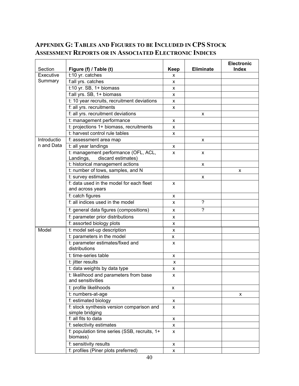## **APPENDIX G: TABLES AND FIGURES TO BE INCLUDED IN CPS STOCK ASSESSMENT REPORTS OR IN ASSOCIATED ELECTRONIC INDICES**

|                      |                                                                         |           |                  | <b>Electronic</b> |
|----------------------|-------------------------------------------------------------------------|-----------|------------------|-------------------|
| Section<br>Executive | Figure (f) / Table (t)<br>t:10 yr. catches                              | Keep<br>x | <b>Eliminate</b> | <b>Index</b>      |
| Summary              | f:all yrs. catches                                                      |           |                  |                   |
|                      | $t:10$ yr. SB, 1+ biomass                                               | x         |                  |                   |
|                      | f:all yrs. SB, 1+ biomass                                               | x         |                  |                   |
|                      | t: 10 year recruits, recruitment deviations                             | x         |                  |                   |
|                      |                                                                         | x         |                  |                   |
|                      | f: all yrs. recruitments                                                | x         |                  |                   |
|                      | f: all yrs. recruitment deviations                                      |           | x                |                   |
|                      | t: management performance                                               | x         |                  |                   |
|                      | t: projections 1+ biomass, recruitments                                 | x         |                  |                   |
|                      | t: harvest control rule tables                                          | x         |                  |                   |
| Introductio          | f: assessment area map                                                  |           | x                |                   |
| n and Data           | t: all year landings                                                    | x         |                  |                   |
|                      | t: management performance (OFL, ACL,<br>discard estimates)<br>Landings, | x         | x                |                   |
|                      | t: historical management actions                                        |           | x                |                   |
|                      | t: number of tows, samples, and N                                       |           |                  | X                 |
|                      | t: survey estimates                                                     |           | x                |                   |
|                      | f: data used in the model for each fleet                                | x         |                  |                   |
|                      | and across years                                                        |           |                  |                   |
|                      | f: catch figures                                                        | x         |                  |                   |
|                      | f: all indices used in the model                                        | x         | $\gamma$         |                   |
|                      | f: general data figures (compositions)                                  | x         | $\overline{?}$   |                   |
|                      | f: parameter prior distributions                                        | x         |                  |                   |
|                      | f: assorted biology plots                                               | X         |                  |                   |
| Model                | t: model set-up description                                             | x         |                  |                   |
|                      | t: parameters in the model                                              | х         |                  |                   |
|                      | t: parameter estimates/fixed and<br>distributions                       | x         |                  |                   |
|                      | t: time-series table                                                    | x         |                  |                   |
|                      | t: jitter results                                                       | x         |                  |                   |
|                      | t: data weights by data type                                            | х         |                  |                   |
|                      | t: likelihood and parameters from base<br>and sensitivities             | x         |                  |                   |
|                      | t: profile likelihoods                                                  | x         |                  |                   |
|                      | t: numbers-at-age                                                       |           |                  | X                 |
|                      | f: estimated biology                                                    | X         |                  |                   |
|                      | f: stock synthesis version comparison and                               | x         |                  |                   |
|                      | simple bridging                                                         |           |                  |                   |
|                      | f: all fits to data                                                     | X         |                  |                   |
|                      | f: selectivity estimates                                                | x         |                  |                   |
|                      | f: population time series (SSB, recruits, 1+<br>biomass)                | X         |                  |                   |
|                      | f: sensitivity results                                                  | x         |                  |                   |
|                      | f: profiles (Piner plots preferred)                                     | X         |                  |                   |